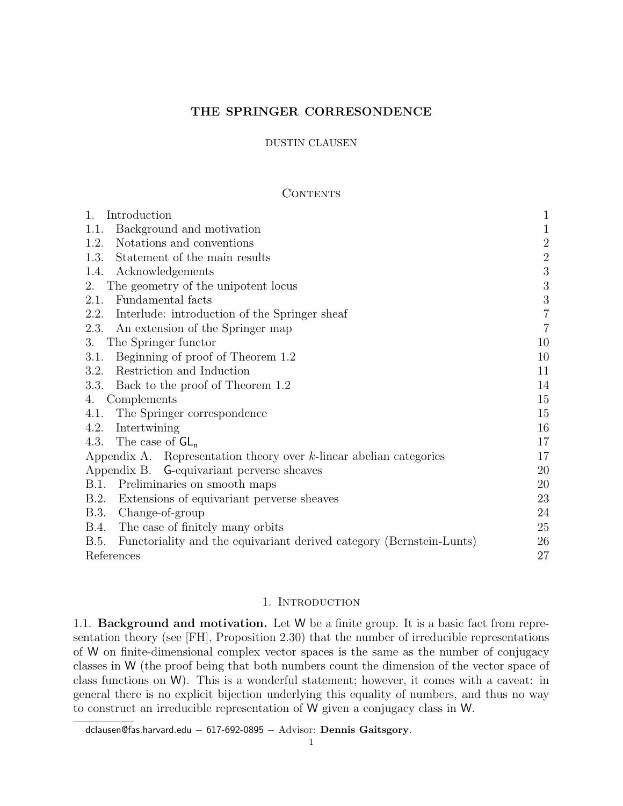## THE SPRINGER CORRESONDENCE

## DUSTIN CLAUSEN

## CONTENTS

| Introduction<br>1.                                                           | $\mathbf{1}$   |
|------------------------------------------------------------------------------|----------------|
| Background and motivation<br>1.1.                                            | $1\,$          |
| Notations and conventions<br>1.2.                                            | $\sqrt{2}$     |
| 1.3.<br>Statement of the main results                                        | $\sqrt{2}$     |
| Acknowledgements<br>1.4.                                                     | $\sqrt{3}$     |
| The geometry of the unipotent locus<br>2.                                    | $\overline{3}$ |
| Fundamental facts<br>2.1.                                                    | $\sqrt{3}$     |
| Interlude: introduction of the Springer sheaf<br>2.2.                        | $\overline{7}$ |
| An extension of the Springer map<br>2.3.                                     | $\overline{7}$ |
| The Springer functor<br>3.                                                   | 10             |
| Beginning of proof of Theorem 1.2<br>3.1.                                    | 10             |
| Restriction and Induction<br>3.2.                                            | 11             |
| Back to the proof of Theorem 1.2<br>3.3.                                     | 14             |
| Complements<br>4.                                                            | 15             |
| 4.1. The Springer correspondence                                             | 15             |
| Intertwining<br>4.2.                                                         | 16             |
| The case of $GL_n$<br>4.3.                                                   | 17             |
| Appendix A. Representation theory over $k$ -linear abelian categories        | 17             |
| Appendix B. G-equivariant perverse sheaves                                   | 20             |
| Preliminaries on smooth maps<br>B.1.                                         | 20             |
| Extensions of equivariant perverse sheaves<br>B.2.                           | 23             |
| Change-of-group<br>B.3.                                                      | 24             |
| The case of finitely many orbits<br>B.4.                                     | 25             |
| Functoriality and the equivariant derived category (Bernstein-Lunts)<br>B.5. | 26             |
| References                                                                   | 27             |

## 1. INTRODUCTION

1.1. Background and motivation. Let W be a finite group. It is a basic fact from representation theory (see [FH], Proposition 2.30) that the number of irreducible representations of W on finite-dimensional complex vector spaces is the same as the number of conjugacy classes in W (the proof being that both numbers count the dimension of the vector space of class functions on W). This is a wonderful statement; however, it comes with a caveat: in general there is no explicit bijection underlying this equality of numbers, and thus no way to construct an irreducible representation of W given a conjugacy class in W.

dclausen@fas.harvard.edu − 617-692-0895 − Advisor: Dennis Gaitsgory.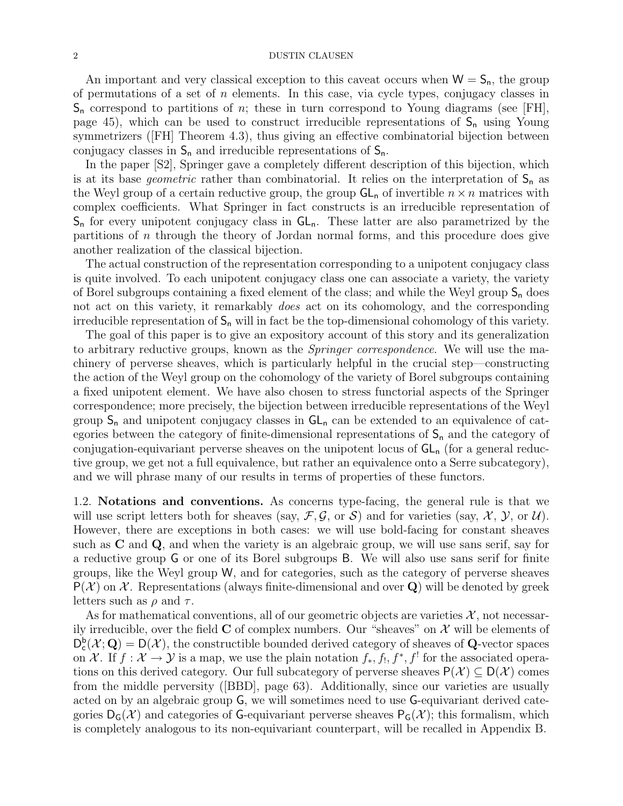An important and very classical exception to this caveat occurs when  $W = S_n$ , the group of permutations of a set of  $n$  elements. In this case, via cycle types, conjugacy classes in  $S_n$  correspond to partitions of n; these in turn correspond to Young diagrams (see [FH], page 45), which can be used to construct irreducible representations of  $S_n$  using Young symmetrizers ([FH] Theorem 4.3), thus giving an effective combinatorial bijection between conjugacy classes in  $S_n$  and irreducible representations of  $S_n$ .

In the paper [S2], Springer gave a completely different description of this bijection, which is at its base *geometric* rather than combinatorial. It relies on the interpretation of  $S_n$  as the Weyl group of a certain reductive group, the group  $GL_n$  of invertible  $n \times n$  matrices with complex coefficients. What Springer in fact constructs is an irreducible representation of  $S_n$  for every unipotent conjugacy class in  $GL_n$ . These latter are also parametrized by the partitions of n through the theory of Jordan normal forms, and this procedure does give another realization of the classical bijection.

The actual construction of the representation corresponding to a unipotent conjugacy class is quite involved. To each unipotent conjugacy class one can associate a variety, the variety of Borel subgroups containing a fixed element of the class; and while the Weyl group  $S_n$  does not act on this variety, it remarkably *does* act on its cohomology, and the corresponding irreducible representation of  $S_n$  will in fact be the top-dimensional cohomology of this variety.

The goal of this paper is to give an expository account of this story and its generalization to arbitrary reductive groups, known as the *Springer correspondence*. We will use the machinery of perverse sheaves, which is particularly helpful in the crucial step—constructing the action of the Weyl group on the cohomology of the variety of Borel subgroups containing a fixed unipotent element. We have also chosen to stress functorial aspects of the Springer correspondence; more precisely, the bijection between irreducible representations of the Weyl group  $S_n$  and unipotent conjugacy classes in  $GL_n$  can be extended to an equivalence of categories between the category of finite-dimensional representations of  $S_n$  and the category of conjugation-equivariant perverse sheaves on the unipotent locus of  $GL_n$  (for a general reductive group, we get not a full equivalence, but rather an equivalence onto a Serre subcategory), and we will phrase many of our results in terms of properties of these functors.

1.2. Notations and conventions. As concerns type-facing, the general rule is that we will use script letters both for sheaves (say,  $\mathcal{F}, \mathcal{G}$ , or  $\mathcal{S}$ ) and for varieties (say,  $\mathcal{X}, \mathcal{Y}$ , or  $\mathcal{U}$ ). However, there are exceptions in both cases: we will use bold-facing for constant sheaves such as C and Q, and when the variety is an algebraic group, we will use sans serif, say for a reductive group G or one of its Borel subgroups B. We will also use sans serif for finite groups, like the Weyl group W, and for categories, such as the category of perverse sheaves  $P(\mathcal{X})$  on  $\mathcal{X}$ . Representations (always finite-dimensional and over Q) will be denoted by greek letters such as  $\rho$  and  $\tau$ .

As for mathematical conventions, all of our geometric objects are varieties  $\mathcal{X}$ , not necessarily irreducible, over the field  $C$  of complex numbers. Our "sheaves" on  $\mathcal X$  will be elements of  $D_c^b(\mathcal{X}; \mathbf{Q}) = D(\mathcal{X})$ , the constructible bounded derived category of sheaves of **Q**-vector spaces on X. If  $f: \mathcal{X} \to \mathcal{Y}$  is a map, we use the plain notation  $f_*, f_!, f^*, f'$  for the associated operations on this derived category. Our full subcategory of perverse sheaves  $P(\mathcal{X}) \subset D(\mathcal{X})$  comes from the middle perversity ([BBD], page 63). Additionally, since our varieties are usually acted on by an algebraic group G, we will sometimes need to use G-equivariant derived categories  $D_G(\mathcal{X})$  and categories of G-equivariant perverse sheaves  $P_G(\mathcal{X})$ ; this formalism, which is completely analogous to its non-equivariant counterpart, will be recalled in Appendix B.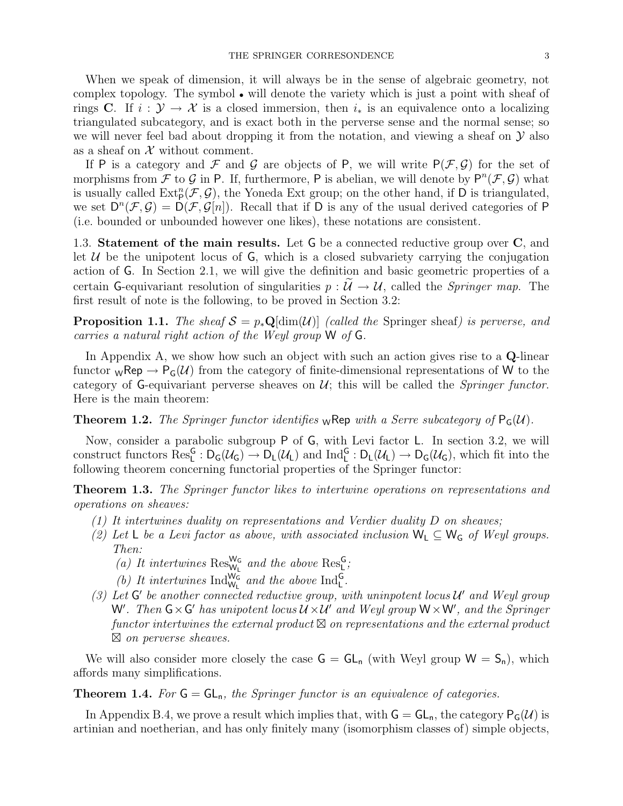When we speak of dimension, it will always be in the sense of algebraic geometry, not complex topology. The symbol • will denote the variety which is just a point with sheaf of rings C. If  $i : \mathcal{Y} \to \mathcal{X}$  is a closed immersion, then  $i_*$  is an equivalence onto a localizing triangulated subcategory, and is exact both in the perverse sense and the normal sense; so we will never feel bad about dropping it from the notation, and viewing a sheaf on  $\mathcal Y$  also as a sheaf on  $X$  without comment.

If P is a category and F and G are objects of P, we will write  $P(\mathcal{F}, \mathcal{G})$  for the set of morphisms from F to G in P. If, furthermore, P is abelian, we will denote by  $P^{n}(\mathcal{F}, \mathcal{G})$  what is usually called  $\text{Ext}^n_{\text{P}}(\mathcal{F}, \mathcal{G})$ , the Yoneda Ext group; on the other hand, if D is triangulated, we set  $D^{n}(\mathcal{F},\mathcal{G})=D(\mathcal{F},\mathcal{G}[n])$ . Recall that if D is any of the usual derived categories of P (i.e. bounded or unbounded however one likes), these notations are consistent.

1.3. Statement of the main results. Let G be a connected reductive group over C, and let  $U$  be the unipotent locus of  $G$ , which is a closed subvariety carrying the conjugation action of G. In Section 2.1, we will give the definition and basic geometric properties of a certain G-equivariant resolution of singularities  $p : \tilde{U} \to U$ , called the *Springer map*. The first result of note is the following, to be proved in Section 3.2:

**Proposition 1.1.** The sheaf  $S = p_*\mathbf{Q}[\text{dim}(\mathcal{U})]$  (called the Springer sheaf) is perverse, and carries a natural right action of the Weyl group W of G.

In Appendix A, we show how such an object with such an action gives rise to a Q-linear functor  ${}_{W}$ Rep  $\rightarrow$  P<sub>G</sub>(U) from the category of finite-dimensional representations of W to the category of G-equivariant perverse sheaves on  $\mathcal{U}$ ; this will be called the *Springer functor*. Here is the main theorem:

**Theorem 1.2.** The Springer functor identifies wRep with a Serre subcategory of  $P_G(U)$ .

Now, consider a parabolic subgroup P of G, with Levi factor L. In section 3.2, we will construct functors  $\text{Res}_{L}^{G}: D_{G}(\mathcal{U}_{G}) \to D_{L}(\mathcal{U}_{L})$  and  $\text{Ind}_{L}^{G}: D_{L}(\mathcal{U}_{L}) \to D_{G}(\mathcal{U}_{G})$ , which fit into the following theorem concerning functorial properties of the Springer functor:

**Theorem 1.3.** The Springer functor likes to intertwine operations on representations and operations on sheaves:

- (1) It intertwines duality on representations and Verdier duality  $D$  on sheaves;
- (2) Let L be a Levi factor as above, with associated inclusion  $W_L \subseteq W_G$  of Weyl groups. Then:
	- (a) It intertwines  $\text{Res}_{W_L}^{W_G}$  and the above  $\text{Res}_{L}^{G}$ ;
	- (b) It intertwines  $\text{Ind}_{\mathsf{W}_{\mathsf{L}}}^{\mathsf{W}_{\mathsf{G}}}$  and the above  $\text{Ind}_{\mathsf{L}}^{\mathsf{G}}$ .
- (3) Let  $G'$  be another connected reductive group, with uninpotent locus  $\mathcal{U}'$  and Weyl group W'. Then  $G \times G'$  has unipotent locus  $\mathcal{U} \times \mathcal{U}'$  and Weyl group  $W \times W'$ , and the Springer  $functor$  intertwines the external product  $\boxtimes$  on representations and the external product  $\boxtimes$  on perverse sheaves.

We will also consider more closely the case  $G = GL_n$  (with Weyl group  $W = S_n$ ), which affords many simplifications.

**Theorem 1.4.** For  $G = GL_n$ , the Springer functor is an equivalence of categories.

In Appendix B.4, we prove a result which implies that, with  $G = GL_n$ , the category  $P_G(\mathcal{U})$  is artinian and noetherian, and has only finitely many (isomorphism classes of) simple objects,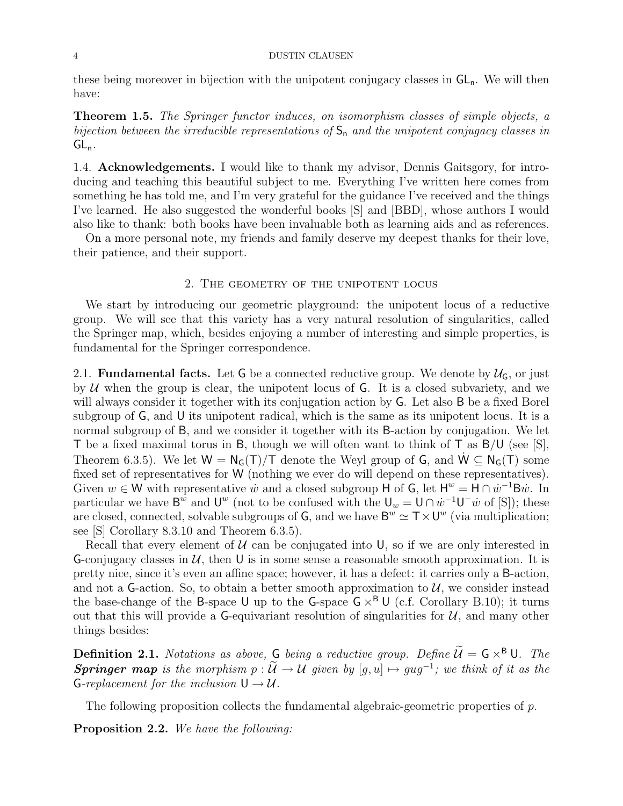these being moreover in bijection with the unipotent conjugacy classes in  $GL_n$ . We will then have:

**Theorem 1.5.** The Springer functor induces, on isomorphism classes of simple objects, a bijection between the irreducible representations of  $S_n$  and the unipotent conjugacy classes in  $GL_n$ .

1.4. Acknowledgements. I would like to thank my advisor, Dennis Gaitsgory, for introducing and teaching this beautiful subject to me. Everything I've written here comes from something he has told me, and I'm very grateful for the guidance I've received and the things I've learned. He also suggested the wonderful books [S] and [BBD], whose authors I would also like to thank: both books have been invaluable both as learning aids and as references.

On a more personal note, my friends and family deserve my deepest thanks for their love, their patience, and their support.

#### 2. The geometry of the unipotent locus

We start by introducing our geometric playground: the unipotent locus of a reductive group. We will see that this variety has a very natural resolution of singularities, called the Springer map, which, besides enjoying a number of interesting and simple properties, is fundamental for the Springer correspondence.

2.1. **Fundamental facts.** Let G be a connected reductive group. We denote by  $\mathcal{U}_G$ , or just by  $U$  when the group is clear, the unipotent locus of G. It is a closed subvariety, and we will always consider it together with its conjugation action by G. Let also B be a fixed Borel subgroup of G, and U its unipotent radical, which is the same as its unipotent locus. It is a normal subgroup of B, and we consider it together with its B-action by conjugation. We let T be a fixed maximal torus in B, though we will often want to think of T as B/U (see [S], Theorem 6.3.5). We let  $W = N_G(T)/T$  denote the Weyl group of G, and  $W \subseteq N_G(T)$  some fixed set of representatives for W (nothing we ever do will depend on these representatives). Given  $w \in W$  with representative  $\dot{w}$  and a closed subgroup H of G, let  $H^w = H \cap \dot{w}^{-1}$ B $\dot{w}$ . In particular we have  $\mathsf{B}^w$  and  $\mathsf{U}^w$  (not to be confused with the  $\mathsf{U}_w = \mathsf{U} \cap \dot{w}^{-1} \mathsf{U}^- \dot{w}$  of [S]); these are closed, connected, solvable subgroups of  $G$ , and we have  $B^w \simeq T \times U^w$  (via multiplication; see [S] Corollary 8.3.10 and Theorem 6.3.5).

Recall that every element of  $U$  can be conjugated into U, so if we are only interested in G-conjugacy classes in  $U$ , then U is in some sense a reasonable smooth approximation. It is pretty nice, since it's even an affine space; however, it has a defect: it carries only a B-action, and not a G-action. So, to obtain a better smooth approximation to  $\mathcal{U}$ , we consider instead the base-change of the B-space U up to the G-space  $G \times^B U$  (c.f. Corollary B.10); it turns out that this will provide a G-equivariant resolution of singularities for  $U$ , and many other things besides:

**Definition 2.1.** Notations as above, G being a reductive group. Define  $\widetilde{\mathcal{U}} = G \times^B \mathsf{U}$ . The **Springer map** is the morphism  $p : \mathcal{U} \to \mathcal{U}$  given by  $[g, u] \mapsto gug^{-1}$ ; we think of it as the G-replacement for the inclusion  $U \rightarrow U$ .

The following proposition collects the fundamental algebraic-geometric properties of  $p$ .

Proposition 2.2. We have the following: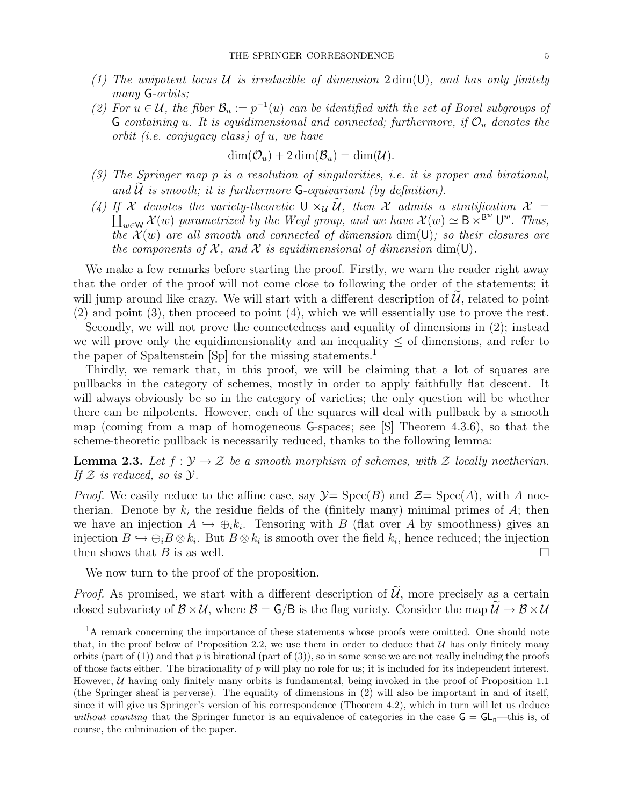- (1) The unipotent locus U is irreducible of dimension  $2 \dim(U)$ , and has only finitely many **G**-orbits;
- (2) For  $u \in \mathcal{U}$ , the fiber  $\mathcal{B}_u := p^{-1}(u)$  can be identified with the set of Borel subgroups of G containing u. It is equidimensional and connected; furthermore, if  $\mathcal{O}_u$  denotes the orbit (i.e. conjugacy class) of u, we have

$$
\dim(\mathcal{O}_u) + 2\dim(\mathcal{B}_u) = \dim(\mathcal{U}).
$$

- (3) The Springer map p is a resolution of singularities, i.e. it is proper and birational, and  $U$  is smooth; it is furthermore  $G$ -equivariant (by definition).
- (4) If X denotes the variety-theoretic  $U \times_{\mathcal{U}} \mathcal{U}$ , then X admits a stratification  $\mathcal{X} =$ <br> $\mathcal{U}(\mathcal{U}) = \mathcal{U}(\mathcal{U}) = \mathcal{U}(\mathcal{U}) = \mathcal{U}(\mathcal{U}) = \mathcal{U}(\mathcal{U}) = \mathcal{U}(\mathcal{U})$  $\coprod_{w\in W} \mathcal{X}(w)$  parametrized by the Weyl group, and we have  $\mathcal{X}(w) \simeq B \times^{B^w} \bigcup^w$ . Thus, the  $\mathcal{X}(w)$  are all smooth and connected of dimension  $\dim(U)$ ; so their closures are the components of X, and X is equidimensional of dimension dim(U).

We make a few remarks before starting the proof. Firstly, we warn the reader right away that the order of the proof will not come close to following the order of the statements; it will jump around like crazy. We will start with a different description of  $U$ , related to point (2) and point (3), then proceed to point (4), which we will essentially use to prove the rest.

Secondly, we will not prove the connectedness and equality of dimensions in (2); instead we will prove only the equidimensionality and an inequality  $\leq$  of dimensions, and refer to the paper of Spaltenstein [Sp] for the missing statements.<sup>1</sup>

Thirdly, we remark that, in this proof, we will be claiming that a lot of squares are pullbacks in the category of schemes, mostly in order to apply faithfully flat descent. It will always obviously be so in the category of varieties; the only question will be whether there can be nilpotents. However, each of the squares will deal with pullback by a smooth map (coming from a map of homogeneous G-spaces; see [S] Theorem 4.3.6), so that the scheme-theoretic pullback is necessarily reduced, thanks to the following lemma:

**Lemma 2.3.** Let  $f: \mathcal{Y} \to \mathcal{Z}$  be a smooth morphism of schemes, with  $\mathcal{Z}$  locally noetherian. If  $\mathcal Z$  is reduced, so is  $\mathcal Y$ .

*Proof.* We easily reduce to the affine case, say  $\mathcal{Y} = \text{Spec}(B)$  and  $\mathcal{Z} = \text{Spec}(A)$ , with A noetherian. Denote by  $k_i$  the residue fields of the (finitely many) minimal primes of A; then we have an injection  $A \hookrightarrow \bigoplus_i k_i$ . Tensoring with B (flat over A by smoothness) gives an injection  $B \hookrightarrow \bigoplus_i B \otimes k_i$ . But  $B \otimes k_i$  is smooth over the field  $k_i$ , hence reduced; the injection then shows that B is as well.

We now turn to the proof of the proposition.

*Proof.* As promised, we start with a different description of  $\tilde{U}$ , more precisely as a certain closed subvariety of  $\mathcal{B} \times \mathcal{U}$ , where  $\mathcal{B} = \mathsf{G}/\mathsf{B}$  is the flag variety. Consider the map  $\widetilde{\mathcal{U}} \to \mathcal{B} \times \mathcal{U}$ 

<sup>&</sup>lt;sup>1</sup>A remark concerning the importance of these statements whose proofs were omitted. One should note that, in the proof below of Proposition 2.2, we use them in order to deduce that  $U$  has only finitely many orbits (part of (1)) and that p is birational (part of (3)), so in some sense we are not really including the proofs of those facts either. The birationality of  $p$  will play no role for us; it is included for its independent interest. However,  $U$  having only finitely many orbits is fundamental, being invoked in the proof of Proposition 1.1 (the Springer sheaf is perverse). The equality of dimensions in (2) will also be important in and of itself, since it will give us Springer's version of his correspondence (Theorem 4.2), which in turn will let us deduce without counting that the Springer functor is an equivalence of categories in the case  $G = GL_n$ —this is, of course, the culmination of the paper.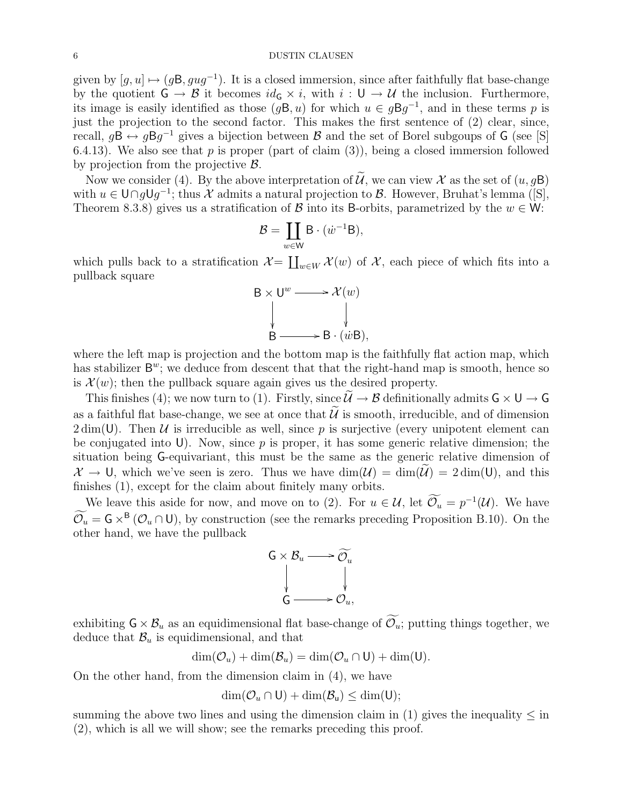given by  $[g, u] \mapsto (g\mathsf{B}, gug^{-1})$ . It is a closed immersion, since after faithfully flat base-change by the quotient  $G \to \mathcal{B}$  it becomes  $id_G \times i$ , with  $i: U \to \mathcal{U}$  the inclusion. Furthermore, its image is easily identified as those  $(g\mathsf{B}, u)$  for which  $u \in g\mathsf{B}g^{-1}$ , and in these terms p is just the projection to the second factor. This makes the first sentence of (2) clear, since, recall,  $g\mathsf{B} \leftrightarrow g\mathsf{B}g^{-1}$  gives a bijection between  $\mathcal B$  and the set of Borel subgoups of  $\mathsf G$  (see [S] 6.4.13). We also see that  $p$  is proper (part of claim (3)), being a closed immersion followed by projection from the projective B.

Now we consider (4). By the above interpretation of  $\widetilde{\mathcal{U}}$ , we can view  $\mathcal X$  as the set of  $(u, g\mathsf{B})$ with  $u \in \bigcup \cap g \cup g^{-1}$ ; thus X admits a natural projection to B. However, Bruhat's lemma ([S], Theorem 8.3.8) gives us a stratification of  $\beta$  into its B-orbits, parametrized by the  $w \in W$ :

$$
\mathcal{B} = \coprod_{w \in W} B \cdot (\dot{w}^{-1}B),
$$

which pulls back to a stratification  $\mathcal{X} = \coprod_{w \in W} \mathcal{X}(w)$  of  $\mathcal{X}$ , each piece of which fits into a pullback square

$$
B \times U^w \longrightarrow \mathcal{X}(w)
$$
  
\n
$$
\downarrow \qquad \qquad \downarrow
$$
  
\n
$$
B \longrightarrow B \cdot (\dot{w}B),
$$

where the left map is projection and the bottom map is the faithfully flat action map, which has stabilizer  $B^w$ ; we deduce from descent that that the right-hand map is smooth, hence so is  $\mathcal{X}(w)$ ; then the pullback square again gives us the desired property.

This finishes (4); we now turn to (1). Firstly, since  $\widetilde{\mathcal{U}} \to \mathcal{B}$  definitionally admits  $\mathsf{G} \times \mathsf{U} \to \mathsf{G}$ as a faithful flat base-change, we see at once that  $\widetilde{\mathcal{U}}$  is smooth, irreducible, and of dimension  $2 \dim(U)$ . Then U is irreducible as well, since p is surjective (every unipotent element can be conjugated into U). Now, since  $p$  is proper, it has some generic relative dimension; the situation being G-equivariant, this must be the same as the generic relative dimension of  $\mathcal{X} \to \mathsf{U}$ , which we've seen is zero. Thus we have  $\dim(\mathcal{U}) = \dim(\mathcal{U}) = 2 \dim(\mathsf{U})$ , and this finishes (1), except for the claim about finitely many orbits.

We leave this aside for now, and move on to (2). For  $u \in \mathcal{U}$ , let  $\mathcal{O}_u = p^{-1}(\mathcal{U})$ . We have  $\mathcal{O}_u = \mathsf{G} \times^{\mathsf{B}} (\mathcal{O}_u \cap \mathsf{U})$ , by construction (see the remarks preceding Proposition B.10). On the other hand, we have the pullback



exhibiting  $G \times \mathcal{B}_u$  as an equidimensional flat base-change of  $\widetilde{\mathcal{O}_u}$ ; putting things together, we deduce that  $\mathcal{B}_u$  is equidimensional, and that

$$
\dim(\mathcal{O}_u) + \dim(\mathcal{B}_u) = \dim(\mathcal{O}_u \cap \mathsf{U}) + \dim(\mathsf{U}).
$$

On the other hand, from the dimension claim in (4), we have

$$
\dim(\mathcal{O}_u \cap U) + \dim(\mathcal{B}_u) \leq \dim(U);
$$

summing the above two lines and using the dimension claim in  $(1)$  gives the inequality  $\leq$  in (2), which is all we will show; see the remarks preceding this proof.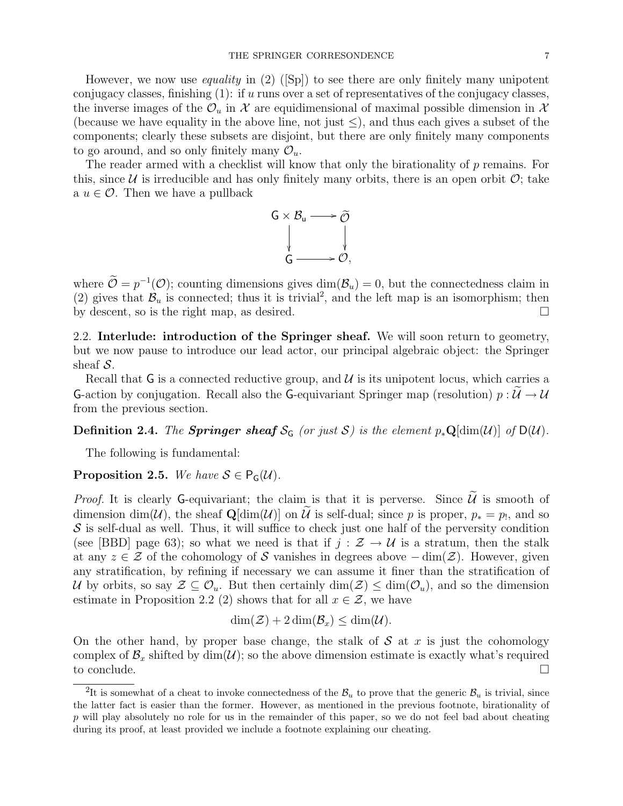However, we now use *equality* in  $(2)$  ([Sp]) to see there are only finitely many unipotent conjugacy classes, finishing  $(1)$ : if u runs over a set of representatives of the conjugacy classes, the inverse images of the  $\mathcal{O}_u$  in X are equidimensional of maximal possible dimension in X (because we have equality in the above line, not just  $\leq$ ), and thus each gives a subset of the components; clearly these subsets are disjoint, but there are only finitely many components to go around, and so only finitely many  $\mathcal{O}_u$ .

The reader armed with a checklist will know that only the birationality of  $p$  remains. For this, since U is irreducible and has only finitely many orbits, there is an open orbit  $\mathcal{O}$ ; take a  $u \in \mathcal{O}$ . Then we have a pullback



where  $\mathcal{O} = p^{-1}(\mathcal{O})$ ; counting dimensions gives  $\dim(\mathcal{B}_u) = 0$ , but the connectedness claim in (2) gives that  $\mathcal{B}_u$  is connected; thus it is trivial<sup>2</sup>, and the left map is an isomorphism; then by descent, so is the right map, as desired.

2.2. Interlude: introduction of the Springer sheaf. We will soon return to geometry, but we now pause to introduce our lead actor, our principal algebraic object: the Springer sheaf  $S$ .

Recall that G is a connected reductive group, and  $\mathcal U$  is its unipotent locus, which carries a G-action by conjugation. Recall also the G-equivariant Springer map (resolution)  $p : \widetilde{\mathcal{U}} \to \mathcal{U}$ from the previous section.

Definition 2.4. The Springer sheaf  $S_G$  (or just S) is the element  $p_*\mathbf{Q}[\dim(\mathcal{U})]$  of  $D(\mathcal{U})$ .

The following is fundamental:

**Proposition 2.5.** We have  $S \in P_G(\mathcal{U})$ .

*Proof.* It is clearly G-equivariant; the claim is that it is perverse. Since  $\widetilde{\mathcal{U}}$  is smooth of dimension dim(U), the sheaf  $\mathbf{Q}[\dim(\mathcal{U})]$  on U is self-dual; since p is proper,  $p_* = p_1$ , and so  $S$  is self-dual as well. Thus, it will suffice to check just one half of the perversity condition (see [BBD] page 63); so what we need is that if  $j : \mathcal{Z} \to \mathcal{U}$  is a stratum, then the stalk at any  $z \in \mathcal{Z}$  of the cohomology of S vanishes in degrees above  $-\dim(\mathcal{Z})$ . However, given any stratification, by refining if necessary we can assume it finer than the stratification of U by orbits, so say  $\mathcal{Z} \subseteq \mathcal{O}_u$ . But then certainly  $\dim(\mathcal{Z}) \leq \dim(\mathcal{O}_u)$ , and so the dimension estimate in Proposition 2.2 (2) shows that for all  $x \in \mathcal{Z}$ , we have

$$
\dim(\mathcal{Z}) + 2\dim(\mathcal{B}_x) \leq \dim(\mathcal{U}).
$$

On the other hand, by proper base change, the stalk of  $S$  at  $x$  is just the cohomology complex of  $\mathcal{B}_x$  shifted by dim(U); so the above dimension estimate is exactly what's required to conclude.  $\Box$ 

<sup>&</sup>lt;sup>2</sup>It is somewhat of a cheat to invoke connectedness of the  $B_u$  to prove that the generic  $B_u$  is trivial, since the latter fact is easier than the former. However, as mentioned in the previous footnote, birationality of p will play absolutely no role for us in the remainder of this paper, so we do not feel bad about cheating during its proof, at least provided we include a footnote explaining our cheating.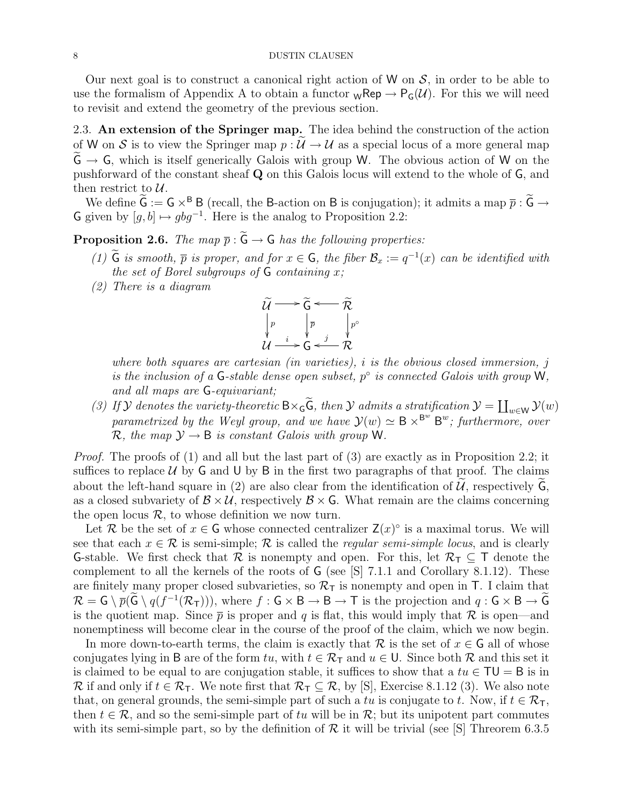Our next goal is to construct a canonical right action of W on  $S$ , in order to be able to use the formalism of Appendix A to obtain a functor  ${}_{\mathsf{W}}\mathsf{Rep} \to {}_{\mathsf{P}_G}(\mathcal{U})$ . For this we will need to revisit and extend the geometry of the previous section.

2.3. An extension of the Springer map. The idea behind the construction of the action of W on S is to view the Springer map  $p: U \to U$  as a special locus of a more general map  $G \rightarrow G$ , which is itself generically Galois with group W. The obvious action of W on the pushforward of the constant sheaf Q on this Galois locus will extend to the whole of G, and then restrict to  $\mathcal{U}$ .

We define  $\widetilde{G} := G \times^B B$  (recall, the B-action on B is conjugation); it admits a map  $\overline{p} : \widetilde{G} \to$ G given by  $[g, b] \mapsto gbg^{-1}$ . Here is the analog to Proposition 2.2:

**Proposition 2.6.** The map  $\bar{p}$ :  $\tilde{G} \rightarrow G$  has the following properties:

- (1)  $\tilde{G}$  is smooth,  $\bar{p}$  is proper, and for  $x \in G$ , the fiber  $\mathcal{B}_x := q^{-1}(x)$  can be identified with the set of Borel subgroups of  $G$  containing  $x$ ;
- (2) There is a diagram



where both squares are cartesian (in varieties), i is the obvious closed immersion, j is the inclusion of a G-stable dense open subset,  $p^{\circ}$  is connected Galois with group W, and all maps are G-equivariant;

(3) If  $\mathcal Y$  denotes the variety-theoretic  $B \times_{\mathsf{G}} \mathsf{G}$ , then  $\mathcal Y$  admits a stratification  $\mathcal Y = \coprod_{w \in \mathsf{W}} \mathcal Y(w)$ parametrized by the Weyl group, and we have  $\mathcal{Y}(w) \simeq B \times B^w$   $B^w$ ; furthermore, over  $\mathcal{R}$ , the map  $\mathcal{Y} \rightarrow \mathsf{B}$  is constant Galois with group W.

*Proof.* The proofs of  $(1)$  and all but the last part of  $(3)$  are exactly as in Proposition 2.2; it suffices to replace  $U$  by  $G$  and  $U$  by  $B$  in the first two paragraphs of that proof. The claims about the left-hand square in (2) are also clear from the identification of  $U$ , respectively  $G$ , as a closed subvariety of  $\mathcal{B} \times \mathcal{U}$ , respectively  $\mathcal{B} \times \mathsf{G}$ . What remain are the claims concerning the open locus  $\mathcal{R}$ , to whose definition we now turn.

Let R be the set of  $x \in G$  whose connected centralizer  $\mathsf{Z}(x)^\circ$  is a maximal torus. We will see that each  $x \in \mathcal{R}$  is semi-simple; R is called the *regular semi-simple locus*, and is clearly **G-stable.** We first check that  $\mathcal{R}$  is nonempty and open. For this, let  $\mathcal{R}_{\mathcal{T}} \subseteq \mathcal{T}$  denote the complement to all the kernels of the roots of G (see [S] 7.1.1 and Corollary 8.1.12). These are finitely many proper closed subvarieties, so  $\mathcal{R}_{\mathcal{T}}$  is nonempty and open in T. I claim that  $\mathcal{R} = \mathsf{G} \setminus \overline{p}(\mathsf{G} \setminus q(f^{-1}(\mathcal{R}_{\mathsf{T}}))),$  where  $f : \mathsf{G} \times \mathsf{B} \to \mathsf{B} \to \mathsf{T}$  is the projection and  $q : \mathsf{G} \times \mathsf{B} \to \mathsf{G}$ is the quotient map. Since  $\bar{p}$  is proper and q is flat, this would imply that  $\mathcal R$  is open—and nonemptiness will become clear in the course of the proof of the claim, which we now begin.

In more down-to-earth terms, the claim is exactly that  $\mathcal R$  is the set of  $x \in \mathsf G$  all of whose conjugates lying in B are of the form tu, with  $t \in \mathcal{R}_T$  and  $u \in U$ . Since both R and this set it is claimed to be equal to are conjugation stable, it suffices to show that a  $tu \in TU = B$  is in R if and only if  $t \in \mathcal{R}_{\mathsf{T}}$ . We note first that  $\mathcal{R}_{\mathsf{T}} \subseteq \mathcal{R}$ , by [S], Exercise 8.1.12 (3). We also note that, on general grounds, the semi-simple part of such a tu is conjugate to t. Now, if  $t \in \mathcal{R}_T$ , then  $t \in \mathcal{R}$ , and so the semi-simple part of tu will be in  $\mathcal{R}$ ; but its unipotent part commutes with its semi-simple part, so by the definition of  $\mathcal R$  it will be trivial (see [S] Threorem 6.3.5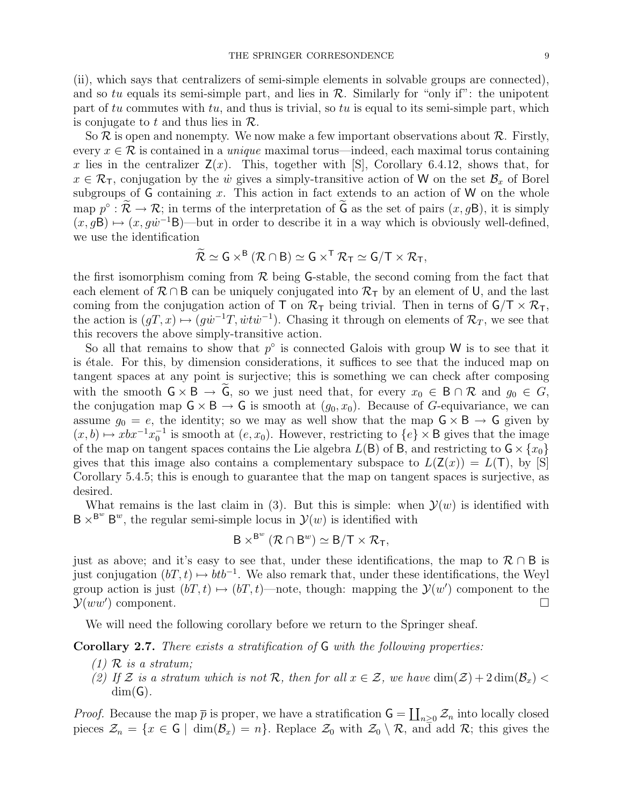(ii), which says that centralizers of semi-simple elements in solvable groups are connected), and so tu equals its semi-simple part, and lies in  $\mathcal{R}$ . Similarly for "only if": the unipotent part of tu commutes with tu, and thus is trivial, so tu is equal to its semi-simple part, which is conjugate to t and thus lies in  $\mathcal{R}$ .

So  $\mathcal R$  is open and nonempty. We now make a few important observations about  $\mathcal R$ . Firstly, every  $x \in \mathcal{R}$  is contained in a *unique* maximal torus—indeed, each maximal torus containing x lies in the centralizer  $Z(x)$ . This, together with  $|S|$ , Corollary 6.4.12, shows that, for  $x \in \mathcal{R}_T$ , conjugation by the  $\dot{w}$  gives a simply-transitive action of W on the set  $\mathcal{B}_x$  of Borel subgroups of  $G$  containing  $x$ . This action in fact extends to an action of  $W$  on the whole map  $p^{\circ} : \mathcal{R} \to \mathcal{R}$ ; in terms of the interpretation of  $\tilde{G}$  as the set of pairs  $(x, gB)$ , it is simply  $(x, gB) \mapsto (x, g\dot{w}^{-1}B)$ —but in order to describe it in a way which is obviously well-defined, we use the identification

$$
\widetilde{\mathcal{R}} \simeq G \times^B (\mathcal{R} \cap B) \simeq G \times^T \mathcal{R}_T \simeq G/T \times \mathcal{R}_T,
$$

the first isomorphism coming from  $\mathcal R$  being G-stable, the second coming from the fact that each element of  $\mathcal{R} \cap B$  can be uniquely conjugated into  $\mathcal{R}_{\tau}$  by an element of U, and the last coming from the conjugation action of T on  $\mathcal{R}_{T}$  being trivial. Then in terns of  $\mathsf{G}/\mathsf{T} \times \mathcal{R}_{T}$ , the action is  $(gT, x) \mapsto (g\dot{w}^{-1}T, \dot{w}t\dot{w}^{-1})$ . Chasing it through on elements of  $\mathcal{R}_T$ , we see that this recovers the above simply-transitive action.

So all that remains to show that  $p^{\circ}$  is connected Galois with group W is to see that it is étale. For this, by dimension considerations, it suffices to see that the induced map on tangent spaces at any point is surjective; this is something we can check after composing with the smooth  $\mathsf{G} \times \mathsf{B} \to \widetilde{\mathsf{G}}$ , so we just need that, for every  $x_0 \in \mathsf{B} \cap \mathcal{R}$  and  $g_0 \in G$ , the conjugation map  $\mathsf{G} \times \mathsf{B} \to \mathsf{G}$  is smooth at  $(g_0, x_0)$ . Because of G-equivariance, we can assume  $g_0 = e$ , the identity; so we may as well show that the map  $G \times B \to G$  given by  $(x, b) \mapsto xbx^{-1}x_0^{-1}$  is smooth at  $(e, x_0)$ . However, restricting to  $\{e\} \times B$  gives that the image of the map on tangent spaces contains the Lie algebra  $L(\mathsf{B})$  of B, and restricting to  $\mathsf{G} \times \{x_0\}$ gives that this image also contains a complementary subspace to  $L(Z(x)) = L(T)$ , by [S] Corollary 5.4.5; this is enough to guarantee that the map on tangent spaces is surjective, as desired.

What remains is the last claim in (3). But this is simple: when  $\mathcal{Y}(w)$  is identified with  $B \times^{B^w} B^w$ , the regular semi-simple locus in  $\mathcal{Y}(w)$  is identified with

$$
B \times^{B^w} (\mathcal{R} \cap B^w) \simeq B/T \times \mathcal{R}_T,
$$

just as above; and it's easy to see that, under these identifications, the map to  $\mathcal{R} \cap B$  is just conjugation  $(bT, t) \mapsto btb^{-1}$ . We also remark that, under these identifications, the Weyl group action is just  $(bT, t) \mapsto (bT, t)$ —note, though: mapping the  $\mathcal{Y}(w')$  component to the  $\mathcal{Y}(ww')$  component.

We will need the following corollary before we return to the Springer sheaf.

Corollary 2.7. There exists a stratification of G with the following properties:

- $(1)$  R is a stratum:
- (2) If Z is a stratum which is not R, then for all  $x \in \mathcal{Z}$ , we have  $\dim(\mathcal{Z}) + 2 \dim(\mathcal{B}_x)$  $dim(G)$ .

*Proof.* Because the map  $\bar{p}$  is proper, we have a stratification  $G = \coprod_{n\geq 0} \mathcal{Z}_n$  into locally closed pieces  $\mathcal{Z}_n = \{x \in \mathsf{G} \mid \dim(\mathcal{B}_x) = n\}.$  Replace  $\mathcal{Z}_0$  with  $\mathcal{Z}_0 \setminus \mathcal{R}$ , and add  $\mathcal{R}$ ; this gives the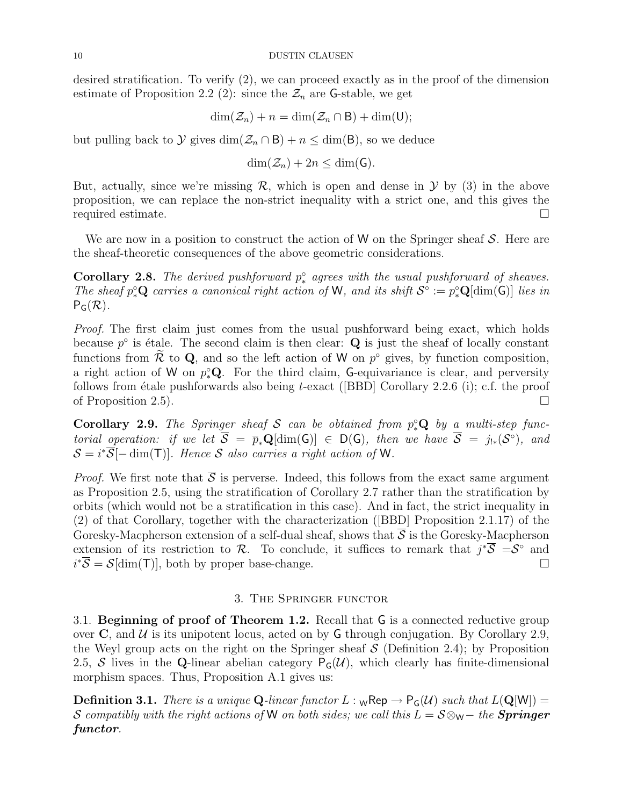desired stratification. To verify (2), we can proceed exactly as in the proof of the dimension estimate of Proposition 2.2 (2): since the  $\mathcal{Z}_n$  are G-stable, we get

$$
\dim(\mathcal{Z}_n)+n=\dim(\mathcal{Z}_n\cap B)+\dim(U);
$$

but pulling back to  $\mathcal Y$  gives  $\dim(\mathcal Z_n \cap B) + n \leq \dim(B)$ , so we deduce

$$
\dim(\mathcal{Z}_n)+2n\leq \dim(\mathsf{G}).
$$

But, actually, since we're missing  $\mathcal{R}$ , which is open and dense in  $\mathcal{Y}$  by (3) in the above proposition, we can replace the non-strict inequality with a strict one, and this gives the required estimate.

We are now in a position to construct the action of W on the Springer sheaf  $\mathcal S$ . Here are the sheaf-theoretic consequences of the above geometric considerations.

**Corollary 2.8.** The derived pushforward  $p_*^{\circ}$  agrees with the usual pushforward of sheaves. The sheaf  $p_*^{\circ} \mathbf{Q}$  carries a canonical right action of W, and its shift  $\mathcal{S}^{\circ} := p_*^{\circ} \mathbf{Q}[\text{dim}(\mathsf{G})]$  lies in  $P_G(\mathcal{R})$ .

Proof. The first claim just comes from the usual pushforward being exact, which holds because  $p^{\circ}$  is étale. The second claim is then clear: **Q** is just the sheaf of locally constant functions from  $\mathcal{R}$  to Q, and so the left action of W on  $p^{\circ}$  gives, by function composition, a right action of W on  $p_*^{\circ}Q$ . For the third claim, G-equivariance is clear, and perversity follows from étale pushforwards also being t-exact ([BBD] Corollary 2.2.6 (i); c.f. the proof of Proposition 2.5).

**Corollary 2.9.** The Springer sheaf S can be obtained from  $p_*^{\circ}Q$  by a multi-step functorial operation: if we let  $\overline{S} = \overline{p}_*\mathbf{Q}[\text{dim}(\mathsf{G})] \in \mathsf{D}(\mathsf{G})$ , then we have  $\overline{S} = j_{!*}(\mathcal{S}^{\circ})$ , and  $\mathcal{S} = i^*\overline{\mathcal{S}}[-\dim(\mathsf{T})]$ . Hence  $\mathcal S$  also carries a right action of W.

*Proof.* We first note that  $\overline{S}$  is perverse. Indeed, this follows from the exact same argument as Proposition 2.5, using the stratification of Corollary 2.7 rather than the stratification by orbits (which would not be a stratification in this case). And in fact, the strict inequality in (2) of that Corollary, together with the characterization ([BBD] Proposition 2.1.17) of the Goresky-Macpherson extension of a self-dual sheaf, shows that  $\overline{S}$  is the Goresky-Macpherson extension of its restriction to R. To conclude, it suffices to remark that  $j^*\overline{S} = S^{\circ}$  and  $i^*\overline{S} = \mathcal{S}[\text{dim}(\mathsf{T})],$  both by proper base-change.

## 3. The Springer functor

3.1. Beginning of proof of Theorem 1.2. Recall that G is a connected reductive group over  $\bf{C}$ , and  $\mathcal{U}$  is its unipotent locus, acted on by  $\bf{G}$  through conjugation. By Corollary 2.9, the Weyl group acts on the right on the Springer sheaf  $S$  (Definition 2.4); by Proposition 2.5, S lives in the Q-linear abelian category  $P_G(\mathcal{U})$ , which clearly has finite-dimensional morphism spaces. Thus, Proposition A.1 gives us:

**Definition 3.1.** There is a unique Q-linear functor  $L : w$ Rep  $\rightarrow P_G(\mathcal{U})$  such that  $L(Q[W]) =$ S compatibly with the right actions of W on both sides; we call this  $L = S \otimes_{\mathsf{W}} -$  the **Springer** functor.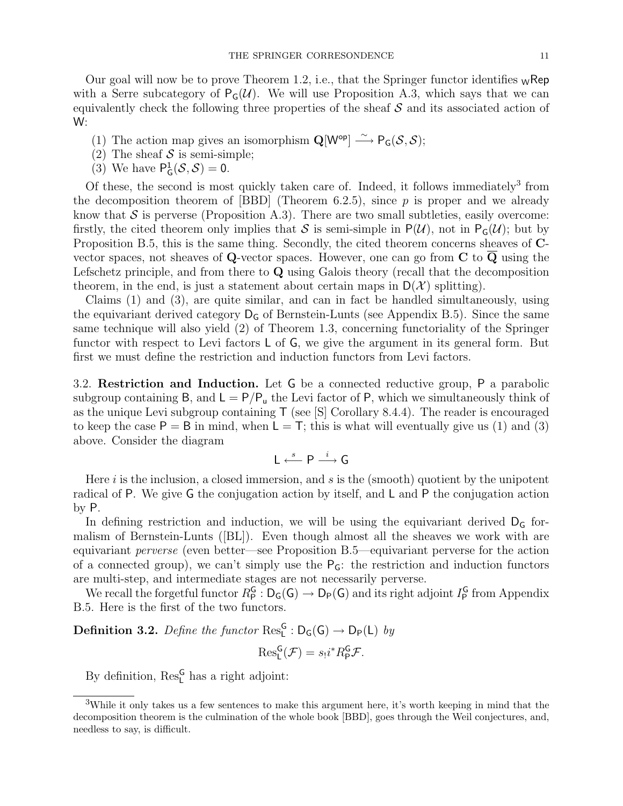Our goal will now be to prove Theorem 1.2, i.e., that the Springer functor identifies  $\mathbf{w}$ Rep with a Serre subcategory of  $P_G(\mathcal{U})$ . We will use Proposition A.3, which says that we can equivalently check the following three properties of the sheaf  $S$  and its associated action of W:

- (1) The action map gives an isomorphism  $\mathbf{Q}[W^{\mathsf{op}}] \stackrel{\sim}{\longrightarrow} \mathsf{P}_{\mathsf{G}}(\mathcal{S}, \mathcal{S});$
- (2) The sheaf  $S$  is semi-simple;
- (3) We have  $P_G^1(\mathcal{S}, \mathcal{S}) = 0$ .

Of these, the second is most quickly taken care of. Indeed, it follows immediately<sup>3</sup> from the decomposition theorem of  $[BBD]$  (Theorem 6.2.5), since p is proper and we already know that  $\mathcal S$  is perverse (Proposition A.3). There are two small subtleties, easily overcome: firstly, the cited theorem only implies that S is semi-simple in  $P(\mathcal{U})$ , not in  $P_{\mathsf{G}}(\mathcal{U})$ ; but by Proposition B.5, this is the same thing. Secondly, the cited theorem concerns sheaves of Cvector spaces, not sheaves of Q-vector spaces. However, one can go from C to Q using the Lefschetz principle, and from there to Q using Galois theory (recall that the decomposition theorem, in the end, is just a statement about certain maps in  $D(\mathcal{X})$  splitting).

Claims (1) and (3), are quite similar, and can in fact be handled simultaneously, using the equivariant derived category  $D_G$  of Bernstein-Lunts (see Appendix B.5). Since the same same technique will also yield (2) of Theorem 1.3, concerning functoriality of the Springer functor with respect to Levi factors L of G, we give the argument in its general form. But first we must define the restriction and induction functors from Levi factors.

3.2. Restriction and Induction. Let G be a connected reductive group, P a parabolic subgroup containing B, and  $L = P/P_u$  the Levi factor of P, which we simultaneously think of as the unique Levi subgroup containing  $\mathsf{T}$  (see [S] Corollary 8.4.4). The reader is encouraged to keep the case  $P = B$  in mind, when  $L = T$ ; this is what will eventually give us (1) and (3) above. Consider the diagram

$$
L \stackrel{s}{\longleftarrow} P \stackrel{i}{\longrightarrow} G
$$

Here  $i$  is the inclusion, a closed immersion, and  $s$  is the (smooth) quotient by the unipotent radical of P. We give G the conjugation action by itself, and L and P the conjugation action by P.

In defining restriction and induction, we will be using the equivariant derived  $D<sub>G</sub>$  formalism of Bernstein-Lunts ([BL]). Even though almost all the sheaves we work with are equivariant perverse (even better—see Proposition B.5—equivariant perverse for the action of a connected group), we can't simply use the  $P<sub>G</sub>$ : the restriction and induction functors are multi-step, and intermediate stages are not necessarily perverse.

We recall the forgetful functor  $R_P^G : D_G(G) \to D_P(G)$  and its right adjoint  $I_P^G$  from Appendix B.5. Here is the first of the two functors.

**Definition 3.2.** Define the functor  $\text{Res}_{L}^{G} : D_{G}(G) \rightarrow D_{P}(L)$  by

$$
\mathrm{Res}_{\mathsf{L}}^{\mathsf{G}}(\mathcal{F})=s_!i^*R_{\mathsf{P}}^{\mathsf{G}}\mathcal{F}.
$$

By definition,  $\mathrm{Res}^\mathsf{G}_\mathsf{L}$  has a right adjoint:

<sup>3</sup>While it only takes us a few sentences to make this argument here, it's worth keeping in mind that the decomposition theorem is the culmination of the whole book [BBD], goes through the Weil conjectures, and, needless to say, is difficult.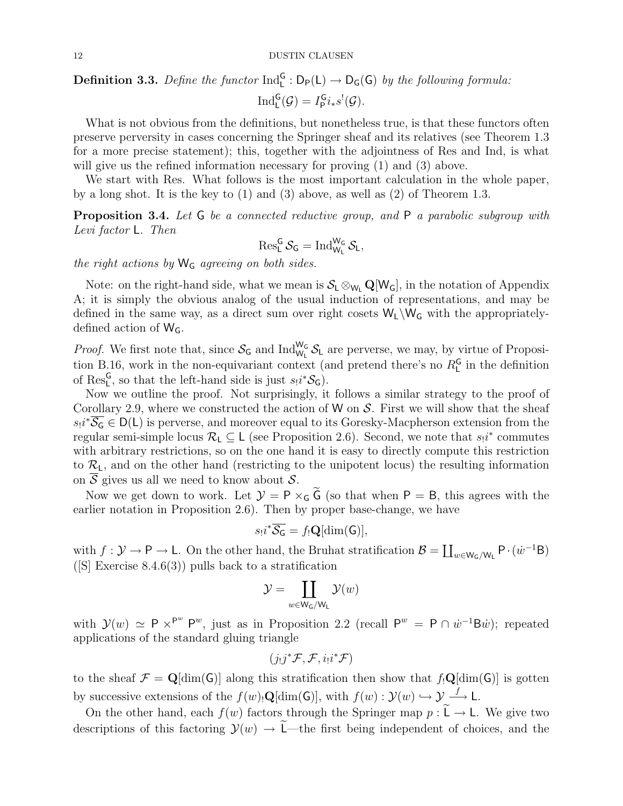# **Definition 3.3.** Define the functor  $\text{Ind}_{L}^{G} : D_{P}(L) \to D_{G}(G)$  by the following formula:  $\mathrm{Ind}_{\mathsf{L}}^{\mathsf{G}}(\mathcal{G})=I_{\mathsf{P}}^{\mathsf{G}}i_{*}s^{!}(\mathcal{G}).$

What is not obvious from the definitions, but nonetheless true, is that these functors often preserve perversity in cases concerning the Springer sheaf and its relatives (see Theorem 1.3 for a more precise statement); this, together with the adjointness of Res and Ind, is what will give us the refined information necessary for proving (1) and (3) above.

We start with Res. What follows is the most important calculation in the whole paper, by a long shot. It is the key to  $(1)$  and  $(3)$  above, as well as  $(2)$  of Theorem 1.3.

Proposition 3.4. Let G be a connected reductive group, and P a parabolic subgroup with Levi factor L. Then

$$
\operatorname{Res}^G_L{\mathcal S}_G=\operatorname{Ind}_{W_L}^{W_G}{\mathcal S}_L,
$$

the right actions by  $W_G$  agreeing on both sides.

Note: on the right-hand side, what we mean is  $S_L \otimes_{W_L} \mathbf{Q}[W_G]$ , in the notation of Appendix A; it is simply the obvious analog of the usual induction of representations, and may be defined in the same way, as a direct sum over right cosets  $W_L\W_G$  with the appropriatelydefined action of  $W_G$ .

*Proof.* We first note that, since  $S_G$  and  $\text{Ind}_{W_L}^{W_G} S_L$  are perverse, we may, by virtue of Proposition B.16, work in the non-equivariant context (and pretend there's no  $R<sub>L</sub><sup>G</sup>$  in the definition of Res<sub>L</sub><sup>G</sup>, so that the left-hand side is just  $s_!i^*\mathcal{S}_G$ .

Now we outline the proof. Not surprisingly, it follows a similar strategy to the proof of Corollary 2.9, where we constructed the action of W on  $S$ . First we will show that the sheaf  $s_1 i^* \overline{S_G} \in D(L)$  is perverse, and moreover equal to its Goresky-Macpherson extension from the regular semi-simple locus  $\mathcal{R}_L \subseteq L$  (see Proposition 2.6). Second, we note that  $s_!i^*$  commutes with arbitrary restrictions, so on the one hand it is easy to directly compute this restriction to  $\mathcal{R}_L$ , and on the other hand (restricting to the unipotent locus) the resulting information on  $\overline{S}$  gives us all we need to know about  $\mathcal{S}$ .

Now we get down to work. Let  $\mathcal{Y} = P \times_G \tilde{G}$  (so that when  $P = B$ , this agrees with the earlier notation in Proposition 2.6). Then by proper base-change, we have

$$
s_!i^*\overline{\mathcal{S}_\mathsf{G}} = f_!\mathbf{Q}[\dim(\mathsf{G})],
$$

with  $f: \mathcal{Y} \to \mathsf{P} \to \mathsf{L}$ . On the other hand, the Bruhat stratification  $\mathcal{B} = \coprod_{w \in \mathsf{W}_{\mathsf{G}}/\mathsf{W}_{\mathsf{L}}} \mathsf{P} \cdot (\dot{w}^{-1} \mathsf{B})$ ( $[S]$  Exercise 8.4.6(3)) pulls back to a stratification

$$
\mathcal{Y} = \coprod_{w \in \mathsf{W}_{\mathsf{G}}/\mathsf{W}_{\mathsf{L}}} \mathcal{Y}(w)
$$

with  $\mathcal{Y}(w) \simeq P \times P^w$  P<sup>w</sup>, just as in Proposition 2.2 (recall  $P^w = P \cap \dot{w}^{-1}$ B $\dot{w}$ ); repeated applications of the standard gluing triangle

$$
(j_!j^*\mathcal{F},\mathcal{F},i_!i^*\mathcal{F})
$$

to the sheaf  $\mathcal{F} = \mathbf{Q}[\text{dim}(\mathsf{G})]$  along this stratification then show that  $f_!\mathbf{Q}[\text{dim}(\mathsf{G})]$  is gotten by successive extensions of the  $f(w)$   $\mathbf{Q}[\dim(\mathsf{G})]$ , with  $f(w) : \mathcal{Y}(w) \hookrightarrow \mathcal{Y} \stackrel{f}{\longrightarrow} \mathsf{L}$ .

On the other hand, each  $f(w)$  factors through the Springer map  $p : \widetilde{\mathsf{L}} \to \mathsf{L}$ . We give two descriptions of this factoring  $\mathcal{Y}(w) \to \widetilde{\mathsf{L}}$ —the first being independent of choices, and the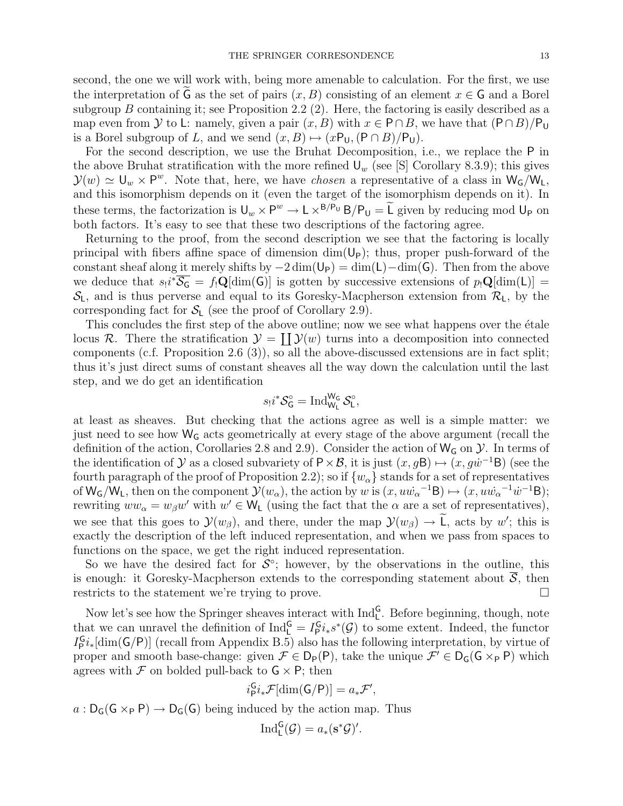second, the one we will work with, being more amenable to calculation. For the first, we use the interpretation of  $\tilde{G}$  as the set of pairs  $(x, B)$  consisting of an element  $x \in G$  and a Borel subgroup B containing it; see Proposition 2.2 (2). Here, the factoring is easily described as a map even from Y to L: namely, given a pair  $(x, B)$  with  $x \in P \cap B$ , we have that  $(P \cap B)/P_U$ is a Borel subgroup of L, and we send  $(x, B) \mapsto (xP_U, (P \cap B)/P_U)$ .

For the second description, we use the Bruhat Decomposition, i.e., we replace the P in the above Bruhat stratification with the more refined  $U_w$  (see [S] Corollary 8.3.9); this gives  $\mathcal{Y}(w) \simeq \mathsf{U}_w \times \mathsf{P}^w$ . Note that, here, we have *chosen* a representative of a class in  $\mathsf{W}_{\mathsf{G}}/\mathsf{W}_{\mathsf{L}}$ , and this isomorphism depends on it (even the target of the isomorphism depends on it). In these terms, the factorization is  $U_w \times P^w \to L \times^{B/P_U} B/P_U = \widetilde{L}$  given by reducing mod  $U_P$  on both factors. It's easy to see that these two descriptions of the factoring agree.

Returning to the proof, from the second description we see that the factoring is locally principal with fibers affine space of dimension  $\dim(U_P)$ ; thus, proper push-forward of the constant sheaf along it merely shifts by  $-2 \dim(U_P) = \dim(L) - \dim(G)$ . Then from the above we deduce that  $s_!i^*\overline{S_{\mathsf{G}}} = f_!{\mathbf{Q}}[\dim({\mathsf{G}})]$  is gotten by successive extensions of  $p_!{\mathbf{Q}}[\dim(L)] =$  $S_L$ , and is thus perverse and equal to its Goresky-Macpherson extension from  $\mathcal{R}_L$ , by the corresponding fact for  $S_{L}$  (see the proof of Corollary 2.9).

This concludes the first step of the above outline; now we see what happens over the étale locus R. There the stratification  $\mathcal{Y} = \prod \mathcal{Y}(w)$  turns into a decomposition into connected components (c.f. Proposition 2.6 (3)), so all the above-discussed extensions are in fact split; thus it's just direct sums of constant sheaves all the way down the calculation until the last step, and we do get an identification

$$
s_!i^*\mathcal{S}_\mathsf{G}^\circ=\mathop{\mathrm{Ind}}\nolimits_{\mathsf{W}_\mathsf{L}}^{\mathsf{W}_\mathsf{G}}\mathcal{S}_\mathsf{L}^\circ,
$$

at least as sheaves. But checking that the actions agree as well is a simple matter: we just need to see how  $W_G$  acts geometrically at every stage of the above argument (recall the definition of the action, Corollaries 2.8 and 2.9). Consider the action of  $W_G$  on  $\mathcal Y$ . In terms of the identification of  $\mathcal Y$  as a closed subvariety of  $\mathsf P\times\mathcal B$ , it is just  $(x,g\mathsf B)\mapsto (x,g\dot w^{-1}\mathsf B)$  (see the fourth paragraph of the proof of Proposition 2.2); so if  $\{w_{\alpha}\}\$  stands for a set of representatives of  $\mathsf{W}_{\mathsf{G}}/\mathsf{W}_{\mathsf{L}}$ , then on the component  $\mathcal{Y}(w_\alpha)$ , the action by w is  $(x, u\dot{w_\alpha}^{-1}\mathsf{B}) \mapsto (x, u\dot{w_\alpha}^{-1}\dot{w}^{-1}\mathsf{B});$ rewriting  $ww_\alpha = w_\beta w'$  with  $w' \in W_L$  (using the fact that the  $\alpha$  are a set of representatives), we see that this goes to  $\mathcal{Y}(w_\beta)$ , and there, under the map  $\mathcal{Y}(w_\beta) \to \mathcal{L}$ , acts by w'; this is exactly the description of the left induced representation, and when we pass from spaces to functions on the space, we get the right induced representation.

So we have the desired fact for  $S^{\circ}$ ; however, by the observations in the outline, this is enough: it Goresky-Macpherson extends to the corresponding statement about  $\overline{S}$ , then restricts to the statement we're trying to prove.

Now let's see how the Springer sheaves interact with  $\text{Ind}_{L}^{\mathsf{G}}$ . Before beginning, though, note that we can unravel the definition of  $\text{Ind}_{L}^{\mathsf{G}} = I_{\mathsf{P}}^{\mathsf{G}} i_* s^* (\mathcal{G})$  to some extent. Indeed, the functor  $I_P^{\mathsf{G}}i_*[\dim(\mathsf{G}/\mathsf{P})]$  (recall from Appendix B.5) also has the following interpretation, by virtue of proper and smooth base-change: given  $\mathcal{F} \in D_{\mathsf{P}}(\mathsf{P})$ , take the unique  $\mathcal{F}' \in D_{\mathsf{G}}(\mathsf{G} \times_{\mathsf{P}} \mathsf{P})$  which agrees with  $\mathcal F$  on bolded pull-back to  $G \times P$ ; then

$$
i_{\mathsf{P}}^{\mathsf{G}} i_* \mathcal{F}[\dim(\mathsf{G}/\mathsf{P})] = a_* \mathcal{F}',
$$

 $a: D_G(G \times_P P) \to D_G(G)$  being induced by the action map. Thus

$$
\mathrm{Ind}_{\mathsf{L}}^{\mathsf{G}}(\mathcal{G})=a_*(\mathbf{s}^*\mathcal{G})'.
$$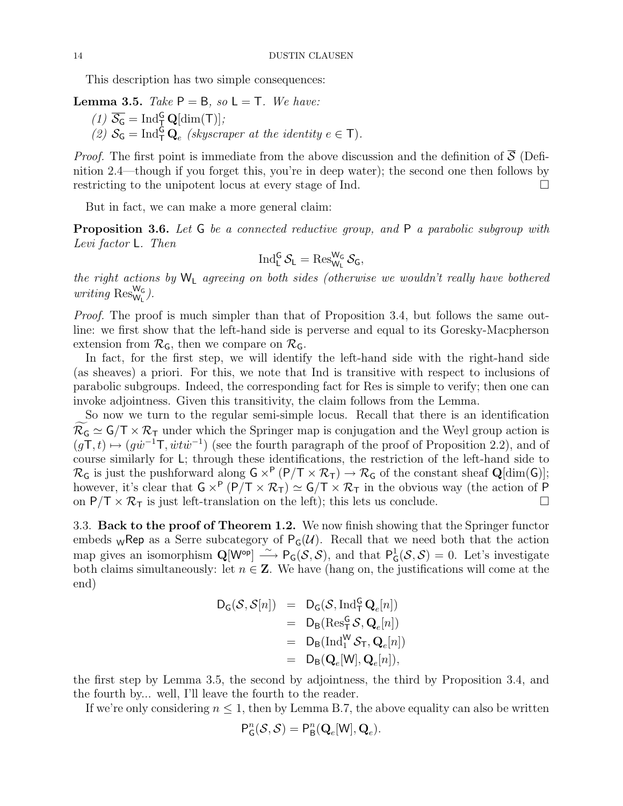This description has two simple consequences:

**Lemma 3.5.** Take  $P = B$ , so  $L = T$ . We have: (1)  $\overline{S_G} = \text{Ind}_{\overline{I}}^G \mathbf{Q}[\text{dim}(\mathsf{T})];$ 

(2)  $S_G = \text{Ind}_{\text{T}}^G \mathbf{Q}_e$  (skyscraper at the identity  $e \in \text{T}$ ).

*Proof.* The first point is immediate from the above discussion and the definition of  $\overline{S}$  (Definition 2.4—though if you forget this, you're in deep water); the second one then follows by restricting to the unipotent locus at every stage of Ind.

But in fact, we can make a more general claim:

Proposition 3.6. Let G be a connected reductive group, and P a parabolic subgroup with Levi factor L. Then

$$
\operatorname{Ind}_{L}^{G} \mathcal{S}_{L} = \operatorname{Res}^{W_G}_{W_L} \mathcal{S}_{G},
$$

the right actions by  $W_L$  agreeing on both sides (otherwise we wouldn't really have bothered writing  $\text{Res}_{W_L}^{W_G}$ ).

Proof. The proof is much simpler than that of Proposition 3.4, but follows the same outline: we first show that the left-hand side is perverse and equal to its Goresky-Macpherson extension from  $\mathcal{R}_G$ , then we compare on  $\mathcal{R}_G$ .

In fact, for the first step, we will identify the left-hand side with the right-hand side (as sheaves) a priori. For this, we note that Ind is transitive with respect to inclusions of parabolic subgroups. Indeed, the corresponding fact for Res is simple to verify; then one can invoke adjointness. Given this transitivity, the claim follows from the Lemma.

So now we turn to the regular semi-simple locus. Recall that there is an identification  $\mathcal{R}_G \simeq G/T \times \mathcal{R}_T$  under which the Springer map is conjugation and the Weyl group action is  $(gT, t) \mapsto (gw^{-1}T, \dot{w}t\dot{w}^{-1})$  (see the fourth paragraph of the proof of Proposition 2.2), and of course similarly for L; through these identifications, the restriction of the left-hand side to  $\mathcal{R}_G$  is just the pushforward along  $G \times^P (P/T \times \mathcal{R}_T) \to \mathcal{R}_G$  of the constant sheaf  $Q[\dim(G)];$ however, it's clear that  $G \times^P (P/T \times \mathcal{R}_T) \simeq G/T \times \mathcal{R}_T$  in the obvious way (the action of P on  $P/T \times \mathcal{R}_T$  is just left-translation on the left); this lets us conclude.

3.3. Back to the proof of Theorem 1.2. We now finish showing that the Springer functor embeds wRep as a Serre subcategory of  $P_G(\mathcal{U})$ . Recall that we need both that the action map gives an isomorphism  $\mathbf{Q}[W^{\mathsf{op}}] \stackrel{\sim}{\longrightarrow} \mathsf{P}_{\mathsf{G}}(\mathcal{S}, \mathcal{S})$ , and that  $\mathsf{P}_{\mathsf{G}}^1$  ${}_{\mathsf{G}}^{1}(\mathcal{S},\mathcal{S})=0$ . Let's investigate both claims simultaneously: let  $n \in \mathbb{Z}$ . We have (hang on, the justifications will come at the end)

$$
D_G(S, S[n]) = D_G(S, \operatorname{Ind}_{T}^{G} Q_e[n])
$$
  
= D\_B(Res\_{T}^{G} S, Q\_e[n])  
= D\_B(\operatorname{Ind}\_{1}^{W} S\_{T}, Q\_e[n])  
= D\_B(Q\_e[W], Q\_e[n]),

the first step by Lemma 3.5, the second by adjointness, the third by Proposition 3.4, and the fourth by... well, I'll leave the fourth to the reader.

If we're only considering  $n \leq 1$ , then by Lemma B.7, the above equality can also be written

$$
\mathsf{P}^n_\mathsf{G}(\mathcal{S},\mathcal{S}) = \mathsf{P}^n_\mathsf{B}(\mathbf{Q}_e[\mathsf{W}],\mathbf{Q}_e).
$$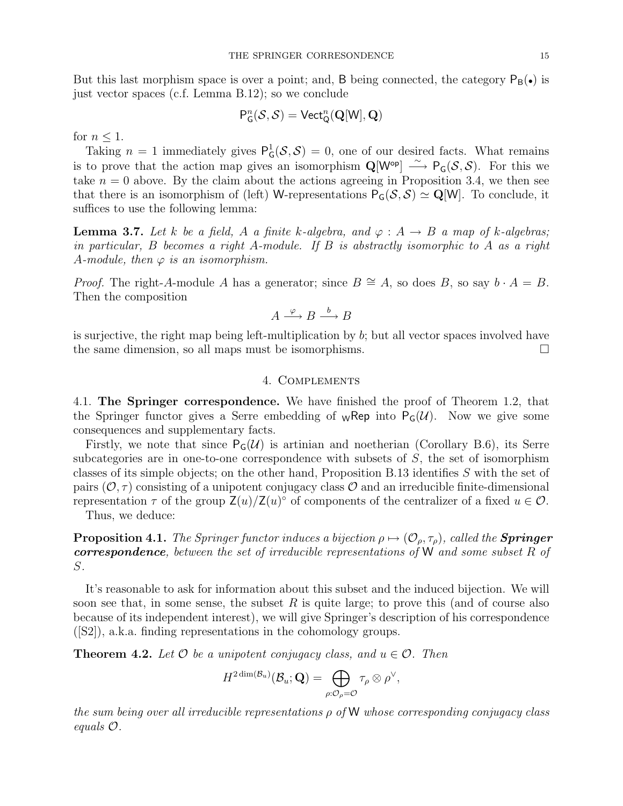But this last morphism space is over a point; and, B being connected, the category  $P_B(\bullet)$  is just vector spaces (c.f. Lemma B.12); so we conclude

$$
\mathsf{P}^n_\mathsf{G}(\mathcal{S}, \mathcal{S}) = \mathsf{Vect}^n_\mathsf{Q}(\mathbf{Q}[\mathsf{W}], \mathbf{Q})
$$

for  $n \leq 1$ .

Taking  $n = 1$  immediately gives  $P_c^1$  ${}^1_{\mathsf{G}}(\mathcal{S}, \mathcal{S}) = 0$ , one of our desired facts. What remains is to prove that the action map gives an isomorphism  $\mathbf{Q}[W^{\mathsf{op}}] \longrightarrow \mathsf{P}_{\mathsf{G}}(\mathcal{S},\mathcal{S})$ . For this we take  $n = 0$  above. By the claim about the actions agreeing in Proposition 3.4, we then see that there is an isomorphism of (left) W-representations  $P_G(S, S) \simeq \mathbf{Q}[W]$ . To conclude, it suffices to use the following lemma:

**Lemma 3.7.** Let k be a field, A a finite k-algebra, and  $\varphi : A \to B$  a map of k-algebras; in particular,  $B$  becomes a right  $A$ -module. If  $B$  is abstractly isomorphic to  $A$  as a right A-module, then  $\varphi$  is an isomorphism.

*Proof.* The right-A-module A has a generator; since  $B \cong A$ , so does B, so say  $b \cdot A = B$ . Then the composition

$$
A \xrightarrow{\varphi} B \xrightarrow{b} B
$$

is surjective, the right map being left-multiplication by  $b$ ; but all vector spaces involved have the same dimension, so all maps must be isomorphisms.

## 4. Complements

4.1. The Springer correspondence. We have finished the proof of Theorem 1.2, that the Springer functor gives a Serre embedding of  ${}_{W}$ Rep into  $P_{G}(\mathcal{U})$ . Now we give some consequences and supplementary facts.

Firstly, we note that since  $P_G(\mathcal{U})$  is artinian and noetherian (Corollary B.6), its Serre subcategories are in one-to-one correspondence with subsets of  $S$ , the set of isomorphism classes of its simple objects; on the other hand, Proposition B.13 identifies S with the set of pairs  $(0, \tau)$  consisting of a unipotent conjugacy class O and an irreducible finite-dimensional representation  $\tau$  of the group  $\mathsf{Z}(u)/\mathsf{Z}(u)$ <sup>o</sup> of components of the centralizer of a fixed  $u \in \mathcal{O}$ .

Thus, we deduce:

**Proposition 4.1.** The Springer functor induces a bijection  $\rho \mapsto (\mathcal{O}_o, \tau_o)$ , called the **Springer** correspondence, between the set of irreducible representations of W and some subset R of S.

It's reasonable to ask for information about this subset and the induced bijection. We will soon see that, in some sense, the subset  $R$  is quite large; to prove this (and of course also because of its independent interest), we will give Springer's description of his correspondence ([S2]), a.k.a. finding representations in the cohomology groups.

**Theorem 4.2.** Let  $\mathcal O$  be a unipotent conjugacy class, and  $u \in \mathcal O$ . Then

$$
H^{2\dim(\mathcal{B}_u)}(\mathcal{B}_u;\mathbf{Q})=\bigoplus_{\rho:\mathcal{O}_\rho=\mathcal{O}}\tau_\rho\otimes\rho^\vee,
$$

the sum being over all irreducible representations ρ of W whose corresponding conjugacy class equals O.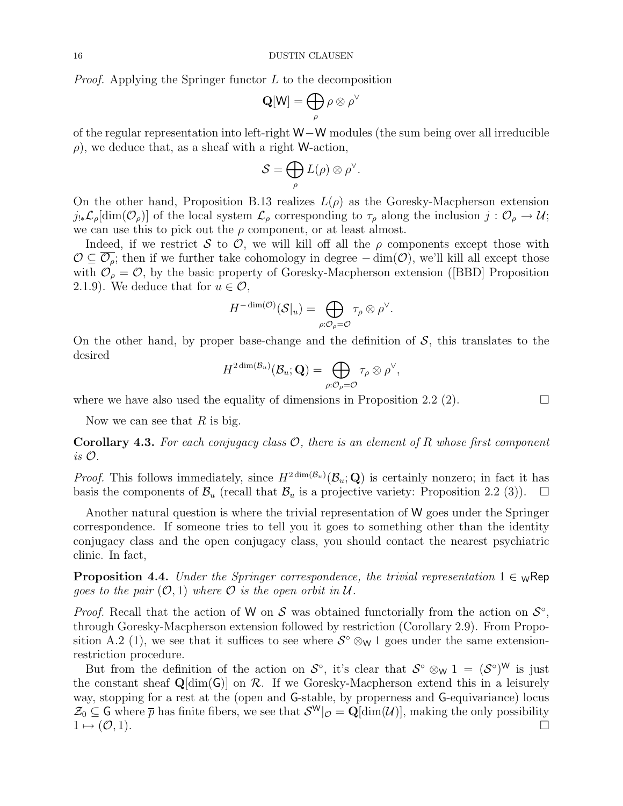Proof. Applying the Springer functor L to the decomposition

$$
\mathbf{Q}[\mathsf{W}] = \bigoplus_{\rho} \rho \otimes \rho^{\vee}
$$

of the regular representation into left-right W−W modules (the sum being over all irreducible  $\rho$ , we deduce that, as a sheaf with a right W-action,

$$
\mathcal{S} = \bigoplus_{\rho} L(\rho) \otimes \rho^{\vee}.
$$

On the other hand, Proposition B.13 realizes  $L(\rho)$  as the Goresky-Macpherson extension  $j_{!*}\mathcal{L}_{\rho}[\dim(\mathcal{O}_{\rho})]$  of the local system  $\mathcal{L}_{\rho}$  corresponding to  $\tau_{\rho}$  along the inclusion  $j:\mathcal{O}_{\rho}\to\mathcal{U};$ we can use this to pick out the  $\rho$  component, or at least almost.

Indeed, if we restrict S to O, we will kill off all the  $\rho$  components except those with  $\mathcal{O} \subseteq \mathcal{O}_\rho$ ; then if we further take cohomology in degree  $-\dim(\mathcal{O})$ , we'll kill all except those with  $\mathcal{O}_{\rho} = \mathcal{O}$ , by the basic property of Goresky-Macpherson extension ([BBD] Proposition 2.1.9). We deduce that for  $u \in \mathcal{O}$ ,

$$
H^{-\dim(\mathcal{O})}(\mathcal{S}|_u)=\bigoplus_{\rho:\mathcal{O}_\rho=\mathcal{O}}\tau_\rho\otimes\rho^\vee.
$$

On the other hand, by proper base-change and the definition of  $S$ , this translates to the desired

$$
H^{2\dim(\mathcal{B}_u)}(\mathcal{B}_u;\mathbf{Q})=\bigoplus_{\rho:\mathcal{O}_\rho=\mathcal{O}}\tau_\rho\otimes\rho^\vee,
$$

where we have also used the equality of dimensions in Proposition 2.2 (2).  $\Box$ 

Now we can see that  $R$  is big.

**Corollary 4.3.** For each conjugacy class  $\mathcal{O}$ , there is an element of R whose first component is O.

*Proof.* This follows immediately, since  $H^{2dim(\mathcal{B}_u)}(\mathcal{B}_u; \mathbf{Q})$  is certainly nonzero; in fact it has basis the components of  $\mathcal{B}_u$  (recall that  $\mathcal{B}_u$  is a projective variety: Proposition 2.2 (3)).  $\Box$ 

Another natural question is where the trivial representation of W goes under the Springer correspondence. If someone tries to tell you it goes to something other than the identity conjugacy class and the open conjugacy class, you should contact the nearest psychiatric clinic. In fact,

**Proposition 4.4.** Under the Springer correspondence, the trivial representation  $1 \in \mathbb{W}$ Rep goes to the pair  $(0,1)$  where O is the open orbit in U.

*Proof.* Recall that the action of W on S was obtained functorially from the action on  $\mathcal{S}^{\circ}$ , through Goresky-Macpherson extension followed by restriction (Corollary 2.9). From Proposition A.2 (1), we see that it suffices to see where  $S^{\circ} \otimes_{\mathsf{W}} 1$  goes under the same extensionrestriction procedure.

But from the definition of the action on  $S^{\circ}$ , it's clear that  $S^{\circ} \otimes_{\mathsf{W}} 1 = (S^{\circ})^{\mathsf{W}}$  is just the constant sheaf  $Q[\dim(G)]$  on R. If we Goresky-Macpherson extend this in a leisurely way, stopping for a rest at the (open and G-stable, by properness and G-equivariance) locus  $\mathcal{Z}_0 \subseteq G$  where  $\bar{p}$  has finite fibers, we see that  $\mathcal{S}^{\mathsf{W}}|_{\mathcal{O}} = \mathbf{Q}[\dim(\mathcal{U})]$ , making the only possibility  $1 \mapsto (\mathcal{O}, 1).$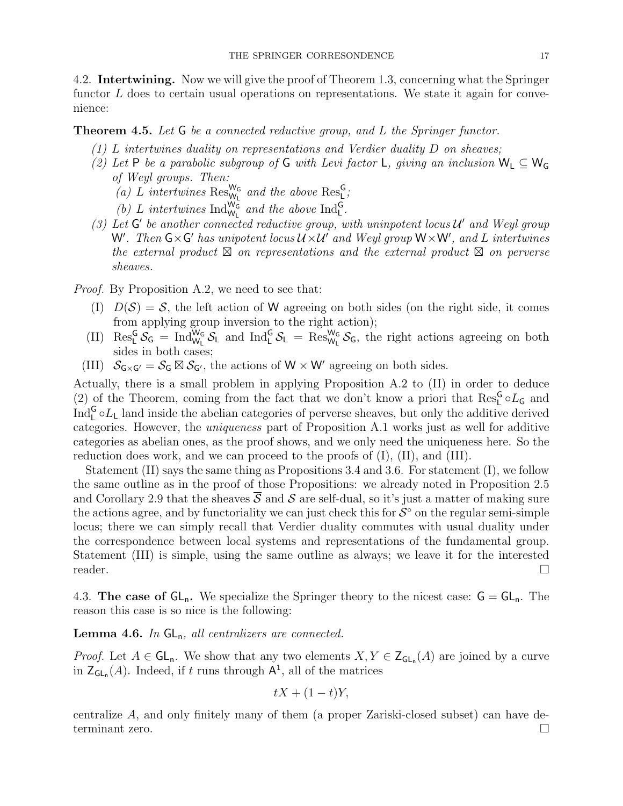4.2. Intertwining. Now we will give the proof of Theorem 1.3, concerning what the Springer functor  $L$  does to certain usual operations on representations. We state it again for convenience:

## Theorem 4.5. Let G be a connected reductive group, and L the Springer functor.

- $(1)$  L intertwines duality on representations and Verdier duality D on sheaves;
- (2) Let P be a parabolic subgroup of G with Levi factor L, giving an inclusion  $W_L \subseteq W_G$ of Weyl groups. Then:
	- (a) L intertwines  $\text{Res}_{\mathsf{W}_{\mathsf{L}}}^{\mathsf{W}_{\mathsf{G}}}$  and the above  $\text{Res}_{\mathsf{L}}^{\mathsf{G}}$ ;
	- (b) L intertwines  $\text{Ind}_{\mathsf{W}_{\mathsf{L}}}^{\mathsf{W}_{\mathsf{G}}}$  and the above  $\text{Ind}_{\mathsf{L}}^{\mathsf{G}}$ .
- (3) Let  $G'$  be another connected reductive group, with uninpotent locus  $\mathcal{U}'$  and Weyl group W'. Then  $G\times G'$  has unipotent locus  $\mathcal{U}\times\mathcal{U}'$  and Weyl group  $W\times W'$ , and L intertwines the external product  $\boxtimes$  on representations and the external product  $\boxtimes$  on perverse sheaves.

Proof. By Proposition A.2, we need to see that:

- (I)  $D(S) = S$ , the left action of W agreeing on both sides (on the right side, it comes from applying group inversion to the right action);
- (II)  $\text{Res}_{L}^{G} S_G = \text{Ind}_{W_L}^{W_G} S_L$  and  $\text{Ind}_{L}^{G} S_L = \text{Res}_{W_L}^{W_G} S_G$ , the right actions agreeing on both sides in both cases;
- (III)  $S_{G\times G'} = S_G \boxtimes S_{G'}$ , the actions of  $W \times W'$  agreeing on both sides.

Actually, there is a small problem in applying Proposition A.2 to (II) in order to deduce (2) of the Theorem, coming from the fact that we don't know a priori that  $\text{Res}_{\mathsf{L}}^{\mathsf{G}} \circ L_{\mathsf{G}}$  and  $\text{Ind}_{\text{L}}^{\text{G}} \circ L_{\text{L}}$  land inside the abelian categories of perverse sheaves, but only the additive derived categories. However, the uniqueness part of Proposition A.1 works just as well for additive categories as abelian ones, as the proof shows, and we only need the uniqueness here. So the reduction does work, and we can proceed to the proofs of (I), (II), and (III).

Statement (II) says the same thing as Propositions 3.4 and 3.6. For statement (I), we follow the same outline as in the proof of those Propositions: we already noted in Proposition 2.5 and Corollary 2.9 that the sheaves  $\overline{S}$  and  $S$  are self-dual, so it's just a matter of making sure the actions agree, and by functoriality we can just check this for  $S^{\circ}$  on the regular semi-simple locus; there we can simply recall that Verdier duality commutes with usual duality under the correspondence between local systems and representations of the fundamental group. Statement (III) is simple, using the same outline as always; we leave it for the interested reader.  $\square$ 

4.3. The case of  $GL_n$ . We specialize the Springer theory to the nicest case:  $G = GL_n$ . The reason this case is so nice is the following:

#### **Lemma 4.6.** In  $GL_n$ , all centralizers are connected.

*Proof.* Let  $A \in GL_n$ . We show that any two elements  $X, Y \in Z_{GL_n}(A)$  are joined by a curve in  $\mathsf{Z}_{\mathsf{GL}_{n}}(A)$ . Indeed, if t runs through  $\mathsf{A}^{1}$ , all of the matrices

$$
tX + (1 - t)Y,
$$

centralize A, and only finitely many of them (a proper Zariski-closed subset) can have determinant zero.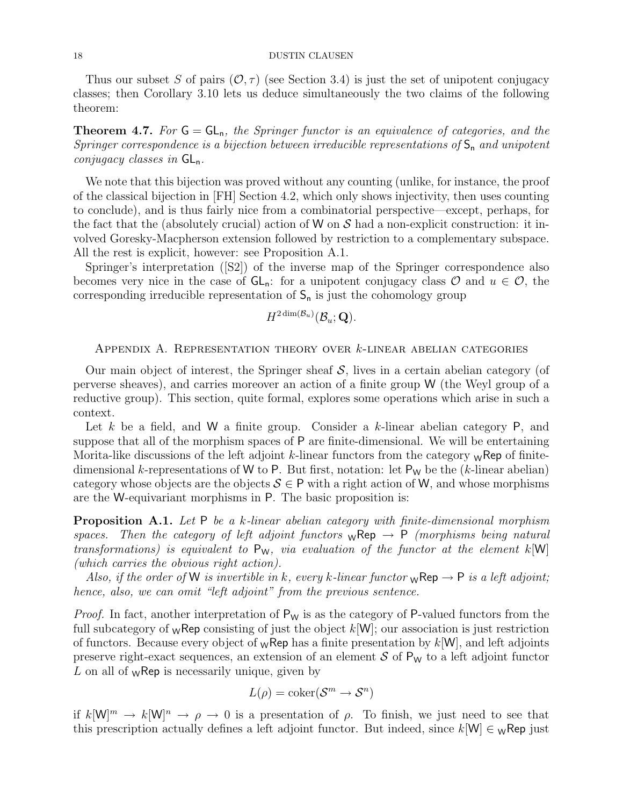Thus our subset S of pairs  $(\mathcal{O}, \tau)$  (see Section 3.4) is just the set of unipotent conjugacy classes; then Corollary 3.10 lets us deduce simultaneously the two claims of the following theorem:

**Theorem 4.7.** For  $G = GL_n$ , the Springer functor is an equivalence of categories, and the Springer correspondence is a bijection between irreducible representations of  $S_n$  and unipotent conjugacy classes in  $GL_n$ .

We note that this bijection was proved without any counting (unlike, for instance, the proof of the classical bijection in [FH] Section 4.2, which only shows injectivity, then uses counting to conclude), and is thus fairly nice from a combinatorial perspective—except, perhaps, for the fact that the (absolutely crucial) action of W on  $S$  had a non-explicit construction: it involved Goresky-Macpherson extension followed by restriction to a complementary subspace. All the rest is explicit, however: see Proposition A.1.

Springer's interpretation ([S2]) of the inverse map of the Springer correspondence also becomes very nice in the case of  $GL_n$ : for a unipotent conjugacy class  $\mathcal O$  and  $u \in \mathcal O$ , the corresponding irreducible representation of  $S_n$  is just the cohomology group

$$
H^{2\dim(\mathcal{B}_u)}(\mathcal{B}_u;\textbf{Q}).
$$

Appendix A. Representation theory over k-linear abelian categories

Our main object of interest, the Springer sheaf  $S$ , lives in a certain abelian category (of perverse sheaves), and carries moreover an action of a finite group W (the Weyl group of a reductive group). This section, quite formal, explores some operations which arise in such a context.

Let k be a field, and W a finite group. Consider a k-linear abelian category  $P$ , and suppose that all of the morphism spaces of P are finite-dimensional. We will be entertaining Morita-like discussions of the left adjoint k-linear functors from the category  $\mathbf{w}$ Rep of finitedimensional k-representations of W to P. But first, notation: let  $P_W$  be the (k-linear abelian) category whose objects are the objects  $S \in \mathsf{P}$  with a right action of W, and whose morphisms are the W-equivariant morphisms in P. The basic proposition is:

Proposition A.1. Let P be a k-linear abelian category with finite-dimensional morphism spaces. Then the category of left adjoint functors  $w$ Rep  $\rightarrow$  P (morphisms being natural transformations) is equivalent to  $P_W$ , via evaluation of the functor at the element  $k[W]$ (which carries the obvious right action).

Also, if the order of W is invertible in k, every k-linear functor  ${}_{\mathsf{W}}\mathsf{Rep} \to \mathsf{P}$  is a left adjoint; hence, also, we can omit "left adjoint" from the previous sentence.

*Proof.* In fact, another interpretation of  $P_W$  is as the category of P-valued functors from the full subcategory of  $w$ Rep consisting of just the object  $k[W]$ ; our association is just restriction of functors. Because every object of  $w$ Rep has a finite presentation by  $k[W]$ , and left adjoints preserve right-exact sequences, an extension of an element  $S$  of  $P_W$  to a left adjoint functor  $L$  on all of  $_W$ Rep is necessarily unique, given by

$$
L(\rho) = \mathrm{coker}(\mathcal{S}^m \to \mathcal{S}^n)
$$

if  $k[\mathsf{W}]^m \to k[\mathsf{W}]^n \to \rho \to 0$  is a presentation of  $\rho$ . To finish, we just need to see that this prescription actually defines a left adjoint functor. But indeed, since  $k[\mathsf{W}] \in \mathsf{W}$ Rep just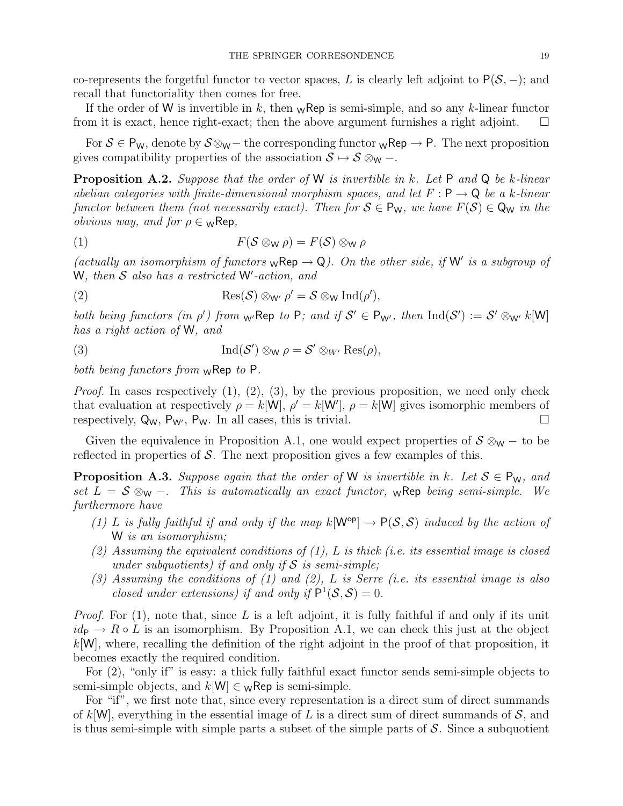co-represents the forgetful functor to vector spaces, L is clearly left adjoint to  $P(S, -)$ ; and recall that functoriality then comes for free.

If the order of W is invertible in k, then  $\mathcal{W}$ Rep is semi-simple, and so any k-linear functor from it is exact, hence right-exact; then the above argument furnishes a right adjoint.  $\square$ 

For  $S \in P_W$ , denote by  $S \otimes_W$  – the corresponding functor  $\mathsf{wRep} \to \mathsf{P}$ . The next proposition gives compatibility properties of the association  $S \mapsto S \otimes_{\mathsf{W}} -$ .

**Proposition A.2.** Suppose that the order of W is invertible in k. Let P and Q be k-linear abelian categories with finite-dimensional morphism spaces, and let  $F: \mathsf{P} \to \mathsf{Q}$  be a k-linear functor between them (not necessarily exact). Then for  $S \in P_W$ , we have  $F(S) \in Q_W$  in the *obvious way, and for*  $\rho \in \mathcal{W}$ Rep,

$$
(1) \tF(\mathcal{S} \otimes_{\mathsf{W}} \rho) = F(\mathcal{S}) \otimes_{\mathsf{W}} \rho
$$

(actually an isomorphism of functors  $w \mathsf{Rep} \to \mathsf{Q}$ ). On the other side, if  $\mathsf{W}'$  is a subgroup of W, then  $\mathcal S$  also has a restricted W'-action, and

(2) 
$$
\operatorname{Res}(\mathcal{S}) \otimes_{\mathsf{W}'} \rho' = \mathcal{S} \otimes_{\mathsf{W}} \operatorname{Ind}(\rho'),
$$

both being functors (in  $\rho'$ ) from <sub>W'</sub>Rep to P; and if  $S' \in P_{W'}$ , then  $\text{Ind}(S') := S' \otimes_{W'} k[W]$ has a right action of W, and

(3) 
$$
\operatorname{Ind}(\mathcal{S}') \otimes_{\mathsf{W}} \rho = \mathcal{S}' \otimes_{W'} \operatorname{Res}(\rho),
$$

both being functors from  $w$ Rep to P.

*Proof.* In cases respectively  $(1), (2), (3),$  by the previous proposition, we need only check that evaluation at respectively  $\rho = k[W], \rho' = k[W'], \rho = k[W]$  gives isomorphic members of respectively,  $Q_W$ ,  $P_W$ ,  $P_W$ . In all cases, this is trivial.

Given the equivalence in Proposition A.1, one would expect properties of  $S \otimes_{\mathsf{W}} -$  to be reflected in properties of  $S$ . The next proposition gives a few examples of this.

**Proposition A.3.** Suppose again that the order of W is invertible in k. Let  $S \in P_W$ , and set  $L = S \otimes_{\mathsf{W}} -$ . This is automatically an exact functor,  $_{\mathsf{W}}$ Rep being semi-simple. We furthermore have

- (1) L is fully faithful if and only if the map  $k[\mathsf{W}^{\mathsf{op}}] \to \mathsf{P}(\mathcal{S}, \mathcal{S})$  induced by the action of W is an isomorphism;
- (2) Assuming the equivalent conditions of  $(1)$ , L is thick (i.e. its essential image is closed under subquotients) if and only if  $S$  is semi-simple;
- (3) Assuming the conditions of  $(1)$  and  $(2)$ , L is Serre (i.e. its essential image is also closed under extensions) if and only if  $P^1(S, S) = 0$ .

*Proof.* For  $(1)$ , note that, since L is a left adjoint, it is fully faithful if and only if its unit  $id_{\mathsf{P}} \to R \circ L$  is an isomorphism. By Proposition A.1, we can check this just at the object  $k[\mathsf{W}]$ , where, recalling the definition of the right adjoint in the proof of that proposition, it becomes exactly the required condition.

For (2), "only if" is easy: a thick fully faithful exact functor sends semi-simple objects to semi-simple objects, and  $k[\mathsf{W}] \in \mathsf{W}$ Rep is semi-simple.

For "if", we first note that, since every representation is a direct sum of direct summands of k[W], everything in the essential image of L is a direct sum of direct summands of  $S$ , and is thus semi-simple with simple parts a subset of the simple parts of  $S$ . Since a subquotient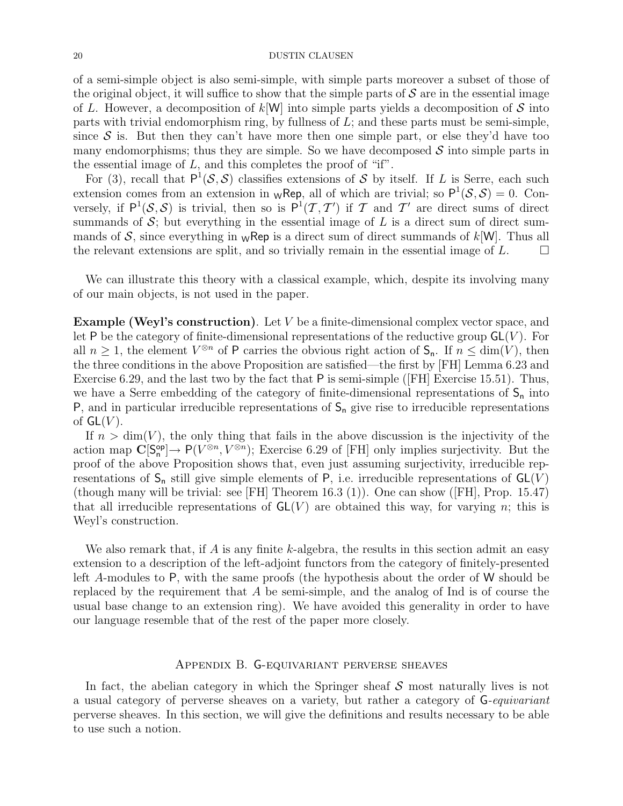of a semi-simple object is also semi-simple, with simple parts moreover a subset of those of the original object, it will suffice to show that the simple parts of  $S$  are in the essential image of L. However, a decomposition of  $k[\mathsf{W}]$  into simple parts yields a decomposition of S into parts with trivial endomorphism ring, by fullness of L; and these parts must be semi-simple, since  $S$  is. But then they can't have more then one simple part, or else they'd have too many endomorphisms; thus they are simple. So we have decomposed  $S$  into simple parts in the essential image of  $L$ , and this completes the proof of "if".

For (3), recall that  $P^1(\mathcal{S}, \mathcal{S})$  classifies extensions of S by itself. If L is Serre, each such extension comes from an extension in  $w$ Rep, all of which are trivial; so  $P^1(S, S) = 0$ . Conversely, if  $P^1(\mathcal{S}, \mathcal{S})$  is trivial, then so is  $P^1(\mathcal{T}, \mathcal{T}')$  if T and T' are direct sums of direct summands of  $S$ ; but everything in the essential image of  $L$  is a direct sum of direct summands of S, since everything in  ${}_{\mathsf{W}}$ Rep is a direct sum of direct summands of k[W]. Thus all the relevant extensions are split, and so trivially remain in the essential image of  $L$ .  $\Box$ 

We can illustrate this theory with a classical example, which, despite its involving many of our main objects, is not used in the paper.

**Example (Weyl's construction).** Let  $V$  be a finite-dimensional complex vector space, and let P be the category of finite-dimensional representations of the reductive group  $GL(V)$ . For all  $n \geq 1$ , the element  $V^{\otimes n}$  of P carries the obvious right action of  $S_n$ . If  $n \leq \dim(V)$ , then the three conditions in the above Proposition are satisfied—the first by [FH] Lemma 6.23 and Exercise 6.29, and the last two by the fact that P is semi-simple ([FH] Exercise 15.51). Thus, we have a Serre embedding of the category of finite-dimensional representations of  $S_n$  into  $P$ , and in particular irreducible representations of  $S_n$  give rise to irreducible representations of  $GL(V)$ .

If  $n > dim(V)$ , the only thing that fails in the above discussion is the injectivity of the action map  $\mathbb{C}[S_n^{\mathsf{op}}] \to \mathsf{P}(V^{\otimes n}, V^{\otimes n})$ ; Exercise 6.29 of [FH] only implies surjectivity. But the proof of the above Proposition shows that, even just assuming surjectivity, irreducible representations of  $S_n$  still give simple elements of P, i.e. irreducible representations of  $GL(V)$ (though many will be trivial: see [FH] Theorem 16.3 (1)). One can show ([FH], Prop. 15.47) that all irreducible representations of  $GL(V)$  are obtained this way, for varying n; this is Weyl's construction.

We also remark that, if A is any finite k-algebra, the results in this section admit an easy extension to a description of the left-adjoint functors from the category of finitely-presented left A-modules to P, with the same proofs (the hypothesis about the order of W should be replaced by the requirement that  $A$  be semi-simple, and the analog of Ind is of course the usual base change to an extension ring). We have avoided this generality in order to have our language resemble that of the rest of the paper more closely.

#### Appendix B. G-equivariant perverse sheaves

In fact, the abelian category in which the Springer sheaf  $S$  most naturally lives is not a usual category of perverse sheaves on a variety, but rather a category of G-equivariant perverse sheaves. In this section, we will give the definitions and results necessary to be able to use such a notion.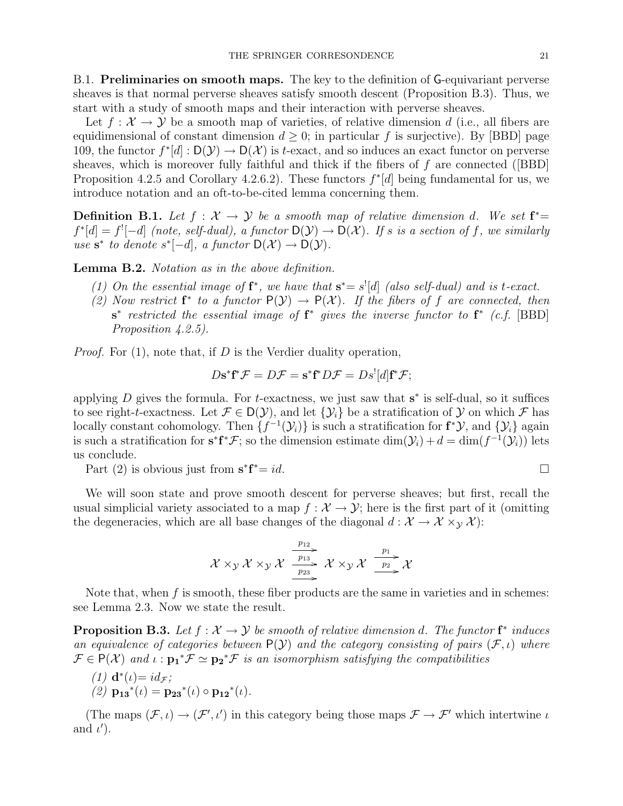B.1. Preliminaries on smooth maps. The key to the definition of G-equivariant perverse sheaves is that normal perverse sheaves satisfy smooth descent (Proposition B.3). Thus, we start with a study of smooth maps and their interaction with perverse sheaves.

Let  $f: \mathcal{X} \to \mathcal{Y}$  be a smooth map of varieties, of relative dimension d (i.e., all fibers are equidimensional of constant dimension  $d \geq 0$ ; in particular f is surjective). By [BBD] page 109, the functor  $f^*[d]: D(\mathcal{Y}) \to D(\mathcal{X})$  is t-exact, and so induces an exact functor on perverse sheaves, which is moreover fully faithful and thick if the fibers of  $f$  are connected ([BBD] Proposition 4.2.5 and Corollary 4.2.6.2). These functors  $f^*[d]$  being fundamental for us, we introduce notation and an oft-to-be-cited lemma concerning them.

**Definition B.1.** Let  $f : \mathcal{X} \to \mathcal{Y}$  be a smooth map of relative dimension d. We set  $f^* =$  $f^*[d] = f^![-d]$  (note, self-dual), a functor  $D(\mathcal{Y}) \to D(\mathcal{X})$ . If s is a section of f, we similarly use  $s^*$  to denote  $s^*[-d]$ , a functor  $D(\mathcal{X}) \to D(\mathcal{Y})$ .

Lemma B.2. Notation as in the above definition.

- (1) On the essential image of  $f^*$ , we have that  $s^* = s'[d]$  (also self-dual) and is t-exact.
- (2) Now restrict  $f^*$  to a functor  $P(Y) \to P(X)$ . If the fibers of f are connected, then  $s^*$  restricted the essential image of  $f^*$  gives the inverse functor to  $f^*$  (c.f. [BBD] Proposition  $4.2.5$ ).

*Proof.* For  $(1)$ , note that, if D is the Verdier duality operation,

$$
D\mathbf{s}^*\mathbf{f}^*\mathcal{F} = D\mathcal{F} = \mathbf{s}^*\mathbf{f}^*D\mathcal{F} = D\mathbf{s}^![d]\mathbf{f}^*\mathcal{F};
$$

applying  $D$  gives the formula. For t-exactness, we just saw that  $s^*$  is self-dual, so it suffices to see right-t-exactness. Let  $\mathcal{F} \in D(\mathcal{Y})$ , and let  $\{\mathcal{Y}_i\}$  be a stratification of  $\mathcal Y$  on which  $\mathcal F$  has locally constant cohomology. Then  $\{f^{-1}(\mathcal{Y}_i)\}$  is such a stratification for  $f^*\mathcal{Y}$ , and  $\{\mathcal{Y}_i\}$  again is such a stratification for  $s^*f^*\mathcal{F}$ ; so the dimension estimate  $\dim(\mathcal{Y}_i) + d = \dim(f^{-1}(\mathcal{Y}_i))$  lets us conclude.

Part  $(2)$  is obvious just from  $s^*f$  $* = id.$ 

We will soon state and prove smooth descent for perverse sheaves; but first, recall the usual simplicial variety associated to a map  $f : \mathcal{X} \to \mathcal{Y}$ ; here is the first part of it (omitting the degeneracies, which are all base changes of the diagonal  $d : \mathcal{X} \to \mathcal{X} \times_{\mathcal{Y}} \mathcal{X}$ :

$$
\mathcal{X} \times_{\mathcal{Y}} \mathcal{X} \times_{\mathcal{Y}} \mathcal{X} \xrightarrow{\frac{p_{12}}{p_{23}}} \mathcal{X} \times_{\mathcal{Y}} \mathcal{X} \xrightarrow{\frac{p_{1}}{p_{2}}} \mathcal{X}
$$

Note that, when  $f$  is smooth, these fiber products are the same in varieties and in schemes: see Lemma 2.3. Now we state the result.

**Proposition B.3.** Let  $f : \mathcal{X} \to \mathcal{Y}$  be smooth of relative dimension d. The functor  $f^*$  induces an equivalence of categories between  $P(Y)$  and the category consisting of pairs  $(F, \iota)$  where  $\mathcal{F} \in P(\mathcal{X})$  and  $\iota : \mathbf{p_1}^* \mathcal{F} \simeq \mathbf{p_2}^* \mathcal{F}$  is an isomorphism satisfying the compatibilities

- (1)  $\mathbf{d}^*(\iota) = id_{\mathcal{F}};$
- (2)  $\mathbf{p_{13}}^{*}(\iota) = \mathbf{p_{23}}^{*}(\iota) \circ \mathbf{p_{12}}^{*}(\iota).$

(The maps  $(\mathcal{F}, \iota) \to (\mathcal{F}', \iota')$  in this category being those maps  $\mathcal{F} \to \mathcal{F}'$  which intertwine  $\iota$ and  $\iota'$ ).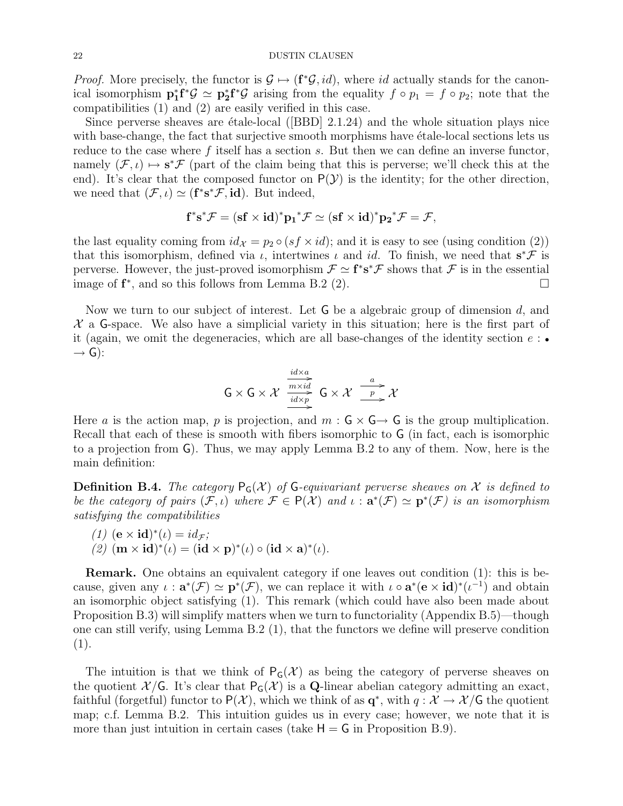*Proof.* More precisely, the functor is  $\mathcal{G} \mapsto (\mathbf{f}^*\mathcal{G}, id)$ , where id actually stands for the canonical isomorphism  $\mathbf{p}_1^* \mathbf{f}^* \mathcal{G} \simeq \mathbf{p}_2^* \mathbf{f}^* \mathcal{G}$  arising from the equality  $f \circ p_1 = f \circ p_2$ ; note that the compatibilities (1) and (2) are easily verified in this case.

Since perverse sheaves are  $\acute{e}tale-local$  ([BBD] 2.1.24) and the whole situation plays nice with base-change, the fact that surjective smooth morphisms have etale-local sections lets us reduce to the case where  $f$  itself has a section  $s$ . But then we can define an inverse functor, namely  $(\mathcal{F}, \iota) \mapsto s^* \mathcal{F}$  (part of the claim being that this is perverse; we'll check this at the end). It's clear that the composed functor on  $P(Y)$  is the identity; for the other direction, we need that  $(\mathcal{F}, \iota) \simeq (\mathbf{f}^* \mathbf{s}^* \mathcal{F}, \mathbf{id}).$  But indeed,

$$
f^*s^*\mathcal{F}=(sf\times id)^*{p_1}^*\mathcal{F}\simeq (sf\times id)^*{p_2}^*\mathcal{F}=\mathcal{F},
$$

the last equality coming from  $id_{\mathcal{X}} = p_2 \circ (s f \times id)$ ; and it is easy to see (using condition (2)) that this isomorphism, defined via  $\iota$ , intertwines  $\iota$  and id. To finish, we need that  $s^*\mathcal{F}$  is perverse. However, the just-proved isomorphism  $\mathcal{F} \simeq f^* s^* \mathcal{F}$  shows that  $\mathcal{F}$  is in the essential image of  $f^*$ , and so this follows from Lemma B.2 (2).

Now we turn to our subject of interest. Let  $G$  be a algebraic group of dimension  $d$ , and  $\mathcal X$  a G-space. We also have a simplicial variety in this situation; here is the first part of it (again, we omit the degeneracies, which are all base-changes of the identity section  $e : \bullet$  $\rightarrow$  G):

$$
G \times G \times \mathcal{X} \xrightarrow[\text{idx}_p]{\text{mixid}} \text{G} \times \mathcal{X} \xrightarrow[\text{p}]{a} \mathcal{X}
$$

Here a is the action map, p is projection, and  $m : G \times G \rightarrow G$  is the group multiplication. Recall that each of these is smooth with fibers isomorphic to G (in fact, each is isomorphic to a projection from G). Thus, we may apply Lemma B.2 to any of them. Now, here is the main definition:

**Definition B.4.** The category  $P_G(\mathcal{X})$  of G-equivariant perverse sheaves on X is defined to be the category of pairs  $(\mathcal{F},\iota)$  where  $\mathcal{F} \in P(\mathcal{X})$  and  $\iota : \mathbf{a}^*(\mathcal{F}) \simeq \mathbf{p}^*(\mathcal{F})$  is an isomorphism satisfying the compatibilities

(1) 
$$
(\mathbf{e} \times \mathbf{id})^*(\iota) = id_{\mathcal{F}};
$$
  
(2)  $(\mathbf{m} \times \mathbf{id})^*(\iota) = (\mathbf{id} \times \mathbf{p})^*(\iota) \circ (\mathbf{id} \times \mathbf{a})^*(\iota).$ 

Remark. One obtains an equivalent category if one leaves out condition (1): this is because, given any  $\iota : \mathbf{a}^*(\mathcal{F}) \simeq \mathbf{p}^*(\mathcal{F})$ , we can replace it with  $\iota \circ \mathbf{a}^*(\mathbf{e} \times \mathbf{id})^*(\iota^{-1})$  and obtain an isomorphic object satisfying (1). This remark (which could have also been made about Proposition B.3) will simplify matters when we turn to functoriality (Appendix B.5)—though one can still verify, using Lemma B.2 (1), that the functors we define will preserve condition  $(1).$ 

The intuition is that we think of  $P_G(\mathcal{X})$  as being the category of perverse sheaves on the quotient  $\mathcal{X}/\mathsf{G}$ . It's clear that  $\mathsf{P}_{\mathsf{G}}(\mathcal{X})$  is a **Q**-linear abelian category admitting an exact, faithful (forgetful) functor to  $P(X)$ , which we think of as  $q^*$ , with  $q: X \to X/G$  the quotient map; c.f. Lemma B.2. This intuition guides us in every case; however, we note that it is more than just intuition in certain cases (take  $H = G$  in Proposition B.9).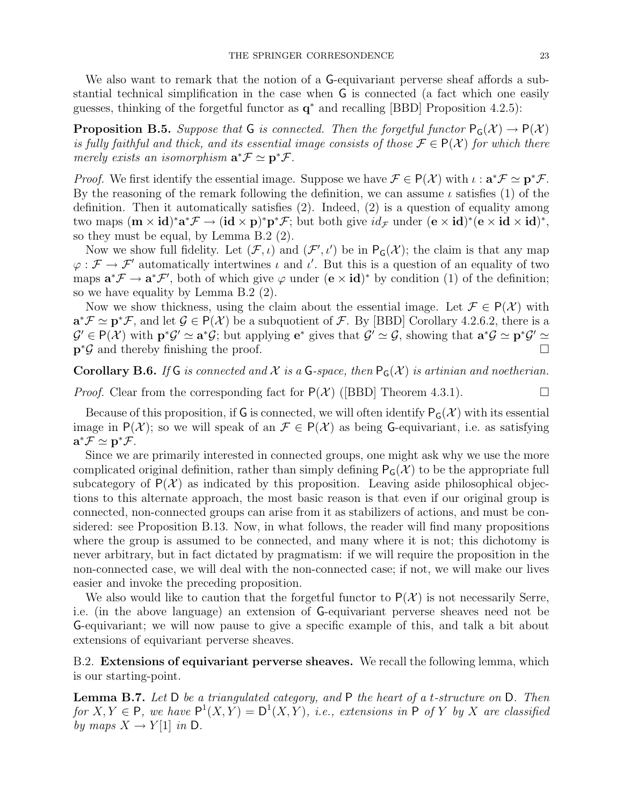We also want to remark that the notion of a G-equivariant perverse sheaf affords a substantial technical simplification in the case when G is connected (a fact which one easily guesses, thinking of the forgetful functor as  $q^*$  and recalling [BBD] Proposition 4.2.5):

**Proposition B.5.** Suppose that G is connected. Then the forgetful functor  $P_G(\mathcal{X}) \to P(\mathcal{X})$ is fully faithful and thick, and its essential image consists of those  $\mathcal{F} \in P(\mathcal{X})$  for which there merely exists an isomorphism  $\mathbf{a}^* \mathcal{F} \simeq \mathbf{p}^* \mathcal{F}$ .

*Proof.* We first identify the essential image. Suppose we have  $\mathcal{F} \in P(\mathcal{X})$  with  $\iota : \mathbf{a}^* \mathcal{F} \simeq \mathbf{p}^* \mathcal{F}$ . By the reasoning of the remark following the definition, we can assume  $\iota$  satisfies (1) of the definition. Then it automatically satisfies (2). Indeed, (2) is a question of equality among two maps  $(m \times id)^*a^*\mathcal{F} \to (id \times p)^*p^*\mathcal{F}$ ; but both give  $id_{\mathcal{F}}$  under  $(e \times id)^*(e \times id \times id)^*$ , so they must be equal, by Lemma B.2 (2).

Now we show full fidelity. Let  $(\mathcal{F}, \iota)$  and  $(\mathcal{F}', \iota')$  be in  $P_G(\mathcal{X})$ ; the claim is that any map  $\varphi : \mathcal{F} \to \mathcal{F}'$  automatically intertwines  $\iota$  and  $\iota'$ . But this is a question of an equality of two maps  $\mathbf{a}^*\mathcal{F} \to \mathbf{a}^*\mathcal{F}'$ , both of which give  $\varphi$  under  $(\mathbf{e} \times \mathbf{id})^*$  by condition (1) of the definition; so we have equality by Lemma B.2 (2).

Now we show thickness, using the claim about the essential image. Let  $\mathcal{F} \in P(\mathcal{X})$  with  $\mathbf{a}^*\mathcal{F} \simeq \mathbf{p}^*\mathcal{F}$ , and let  $\mathcal{G} \in \mathsf{P}(\mathcal{X})$  be a subquotient of  $\mathcal{F}$ . By [BBD] Corollary 4.2.6.2, there is a  $\mathcal{G}' \in \mathsf{P}(\mathcal{X})$  with  $\mathbf{p}^*\mathcal{G}' \simeq \mathbf{a}^*\mathcal{G}$ ; but applying  $\mathbf{e}^*$  gives that  $\mathcal{G}' \simeq \mathcal{G}$ , showing that  $\mathbf{a}^*\mathcal{G} \simeq \mathbf{p}^*\mathcal{G}' \simeq$  $\mathbf{p}^*\mathcal{G}$  and thereby finishing the proof.

**Corollary B.6.** If G is connected and X is a G-space, then  $P_G(\mathcal{X})$  is artinian and noetherian.

*Proof.* Clear from the corresponding fact for  $P(\mathcal{X})$  ([BBD] Theorem 4.3.1).

Because of this proposition, if G is connected, we will often identify  $P_G(\mathcal{X})$  with its essential image in  $P(\mathcal{X})$ ; so we will speak of an  $\mathcal{F} \in P(\mathcal{X})$  as being G-equivariant, i.e. as satisfying  $\mathbf{a}^*\mathcal{F} \simeq \mathbf{p}^*\mathcal{F}.$ 

Since we are primarily interested in connected groups, one might ask why we use the more complicated original definition, rather than simply defining  $P_G(\mathcal{X})$  to be the appropriate full subcategory of  $P(\mathcal{X})$  as indicated by this proposition. Leaving aside philosophical objections to this alternate approach, the most basic reason is that even if our original group is connected, non-connected groups can arise from it as stabilizers of actions, and must be considered: see Proposition B.13. Now, in what follows, the reader will find many propositions where the group is assumed to be connected, and many where it is not; this dichotomy is never arbitrary, but in fact dictated by pragmatism: if we will require the proposition in the non-connected case, we will deal with the non-connected case; if not, we will make our lives easier and invoke the preceding proposition.

We also would like to caution that the forgetful functor to  $P(\mathcal{X})$  is not necessarily Serre, i.e. (in the above language) an extension of G-equivariant perverse sheaves need not be G-equivariant; we will now pause to give a specific example of this, and talk a bit about extensions of equivariant perverse sheaves.

B.2. Extensions of equivariant perverse sheaves. We recall the following lemma, which is our starting-point.

**Lemma B.7.** Let D be a triangulated category, and  $P$  the heart of a t-structure on D. Then for  $X, Y \in \mathsf{P}$ , we have  $\mathsf{P}^1(X, Y) = \mathsf{D}^1(X, Y)$ , i.e., extensions in  $\mathsf{P}$  of Y by X are classified by maps  $X \to Y[1]$  in D.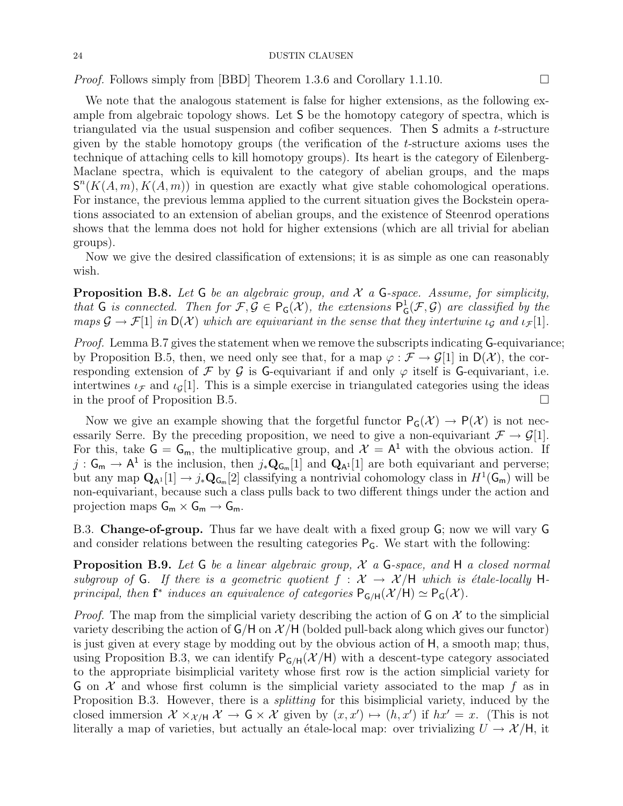*Proof.* Follows simply from [BBD] Theorem 1.3.6 and Corollary 1.1.10.

We note that the analogous statement is false for higher extensions, as the following example from algebraic topology shows. Let S be the homotopy category of spectra, which is triangulated via the usual suspension and cofiber sequences. Then S admits a t-structure given by the stable homotopy groups (the verification of the t-structure axioms uses the technique of attaching cells to kill homotopy groups). Its heart is the category of Eilenberg-Maclane spectra, which is equivalent to the category of abelian groups, and the maps  $S<sup>n</sup>(K(A, m), K(A, m))$  in question are exactly what give stable cohomological operations. For instance, the previous lemma applied to the current situation gives the Bockstein operations associated to an extension of abelian groups, and the existence of Steenrod operations shows that the lemma does not hold for higher extensions (which are all trivial for abelian groups).

Now we give the desired classification of extensions; it is as simple as one can reasonably wish.

**Proposition B.8.** Let G be an algebraic group, and  $\mathcal{X}$  a G-space. Assume, for simplicity, that G is connected. Then for  $\mathcal{F}, \mathcal{G} \in \mathsf{P}_\mathsf{G}(\mathcal{X})$ , the extensions  $\mathsf{P}_\mathsf{G}^1$  $^1$ <sub>G</sub>(*F*, *G*) are classified by the maps  $\mathcal{G} \to \mathcal{F}[1]$  in  $D(\mathcal{X})$  which are equivariant in the sense that they intertwine  $\iota_{\mathcal{G}}$  and  $\iota_{\mathcal{F}}[1]$ .

Proof. Lemma B.7 gives the statement when we remove the subscripts indicating G-equivariance; by Proposition B.5, then, we need only see that, for a map  $\varphi : \mathcal{F} \to \mathcal{G}[1]$  in  $D(\mathcal{X})$ , the corresponding extension of F by G is G-equivariant if and only  $\varphi$  itself is G-equivariant, i.e. intertwines  $\iota_{\mathcal{F}}$  and  $\iota_{\mathcal{G}}[1]$ . This is a simple exercise in triangulated categories using the ideas in the proof of Proposition B.5.

Now we give an example showing that the forgetful functor  $P_G(\mathcal{X}) \to P(\mathcal{X})$  is not necessarily Serre. By the preceding proposition, we need to give a non-equivariant  $\mathcal{F} \to \mathcal{G}[1]$ . For this, take  $G = G_m$ , the multiplicative group, and  $\mathcal{X} = A^1$  with the obvious action. If  $j: \mathsf{G}_{\mathsf{m}} \to \mathsf{A}^1$  is the inclusion, then  $j_*\mathbf{Q}_{\mathsf{G}_{\mathsf{m}}}[1]$  and  $\mathbf{Q}_{\mathsf{A}^1}[1]$  are both equivariant and perverse; but any map  $Q_{A^1}[1] \to j_*Q_{G_m}[2]$  classifying a nontrivial cohomology class in  $H^1(G_m)$  will be non-equivariant, because such a class pulls back to two different things under the action and projection maps  $G_m \times G_m \to G_m$ .

B.3. Change-of-group. Thus far we have dealt with a fixed group G; now we will vary G and consider relations between the resulting categories  $P_G$ . We start with the following:

**Proposition B.9.** Let  $G$  be a linear algebraic group,  $X$  a  $G$ -space, and  $H$  a closed normal subgroup of G. If there is a geometric quotient  $f : \mathcal{X} \to \mathcal{X}/H$  which is étale-locally Hprincipal, then  $f^*$  induces an equivalence of categories  $P_{G/H}(\mathcal{X}/H) \simeq P_G(\mathcal{X})$ .

*Proof.* The map from the simplicial variety describing the action of  $\mathsf{G}$  on  $\mathcal{X}$  to the simplicial variety describing the action of  $G/H$  on  $\mathcal{X}/H$  (bolded pull-back along which gives our functor) is just given at every stage by modding out by the obvious action of H, a smooth map; thus, using Proposition B.3, we can identify  $P_{G/H}(\mathcal{X}/H)$  with a descent-type category associated to the appropriate bisimplicial varitety whose first row is the action simplicial variety for G on  $\mathcal X$  and whose first column is the simplicial variety associated to the map f as in Proposition B.3. However, there is a *splitting* for this bisimplicial variety, induced by the closed immersion  $\mathcal{X} \times_{\mathcal{X}/H} \mathcal{X} \to \mathsf{G} \times \mathcal{X}$  given by  $(x, x') \mapsto (h, x')$  if  $hx' = x$ . (This is not literally a map of varieties, but actually an étale-local map: over trivializing  $U \rightarrow \mathcal{X}/H$ , it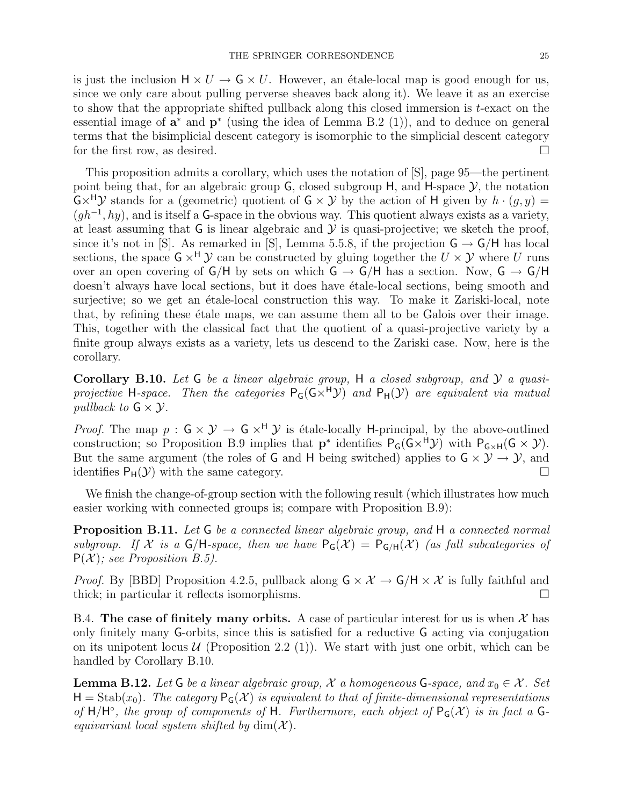is just the inclusion  $H \times U \to G \times U$ . However, an étale-local map is good enough for us, since we only care about pulling perverse sheaves back along it). We leave it as an exercise to show that the appropriate shifted pullback along this closed immersion is t-exact on the essential image of  $a^*$  and  $p^*$  (using the idea of Lemma B.2 (1)), and to deduce on general terms that the bisimplicial descent category is isomorphic to the simplicial descent category for the first row, as desired.  $\square$ 

This proposition admits a corollary, which uses the notation of [S], page 95—the pertinent point being that, for an algebraic group  $G$ , closed subgroup  $H$ , and  $H$ -space  $\mathcal{Y}$ , the notation  $G \times^H \mathcal{Y}$  stands for a (geometric) quotient of  $G \times \mathcal{Y}$  by the action of H given by  $h \cdot (q, y) =$  $(gh^{-1}, hy)$ , and is itself a G-space in the obvious way. This quotient always exists as a variety, at least assuming that  $G$  is linear algebraic and  $\mathcal Y$  is quasi-projective; we sketch the proof, since it's not in [S]. As remarked in [S], Lemma 5.5.8, if the projection  $\mathsf{G} \to \mathsf{G}/\mathsf{H}$  has local sections, the space  $G \times^H \mathcal{Y}$  can be constructed by gluing together the  $U \times \mathcal{Y}$  where U runs over an open covering of  $G/H$  by sets on which  $G \rightarrow G/H$  has a section. Now,  $G \rightarrow G/H$ doesn't always have local sections, but it does have etale-local sections, being smooth and surjective; so we get an etale-local construction this way. To make it Zariski-local, note that, by refining these etale maps, we can assume them all to be Galois over their image. This, together with the classical fact that the quotient of a quasi-projective variety by a finite group always exists as a variety, lets us descend to the Zariski case. Now, here is the corollary.

**Corollary B.10.** Let G be a linear algebraic group, H a closed subgroup, and  $\mathcal{Y}$  a quasiprojective H-space. Then the categories  $P_G(G\times^H{\cal Y})$  and  $P_H({\cal Y})$  are equivalent via mutual pullback to  $G \times Y$ .

*Proof.* The map  $p : G \times Y \to G \times^H Y$  is étale-locally H-principal, by the above-outlined construction; so Proposition B.9 implies that  $p^*$  identifies  $P_G(G\times^H\mathcal{Y})$  with  $P_{G\times H}(G\times \mathcal{Y})$ . But the same argument (the roles of G and H being switched) applies to  $G \times Y \rightarrow Y$ , and identifies  $P_H(\mathcal{Y})$  with the same category.

We finish the change-of-group section with the following result (which illustrates how much easier working with connected groups is; compare with Proposition B.9):

**Proposition B.11.** Let G be a connected linear algebraic group, and H a connected normal subgroup. If X is a  $\mathsf{G}/\mathsf{H}\text{-space}$ , then we have  $\mathsf{P}_{\mathsf{G}}(\mathcal{X}) = \mathsf{P}_{\mathsf{G}/\mathsf{H}}(\mathcal{X})$  (as full subcategories of  $P(X)$ ; see Proposition B.5).

*Proof.* By [BBD] Proposition 4.2.5, pullback along  $G \times \mathcal{X} \to G/H \times \mathcal{X}$  is fully faithful and thick; in particular it reflects isomorphisms.

B.4. The case of finitely many orbits. A case of particular interest for us is when  $\mathcal{X}$  has only finitely many G-orbits, since this is satisfied for a reductive G acting via conjugation on its unipotent locus  $U$  (Proposition 2.2 (1)). We start with just one orbit, which can be handled by Corollary B.10.

**Lemma B.12.** Let G be a linear algebraic group,  $\mathcal{X}$  a homogeneous G-space, and  $x_0 \in \mathcal{X}$ . Set  $H = Stab(x_0)$ . The category  $P_G(\mathcal{X})$  is equivalent to that of finite-dimensional representations of  $H/H^{\circ}$ , the group of components of H. Furthermore, each object of  $P_{G}(\mathcal{X})$  is in fact a Gequivariant local system shifted by  $\dim(\mathcal{X})$ .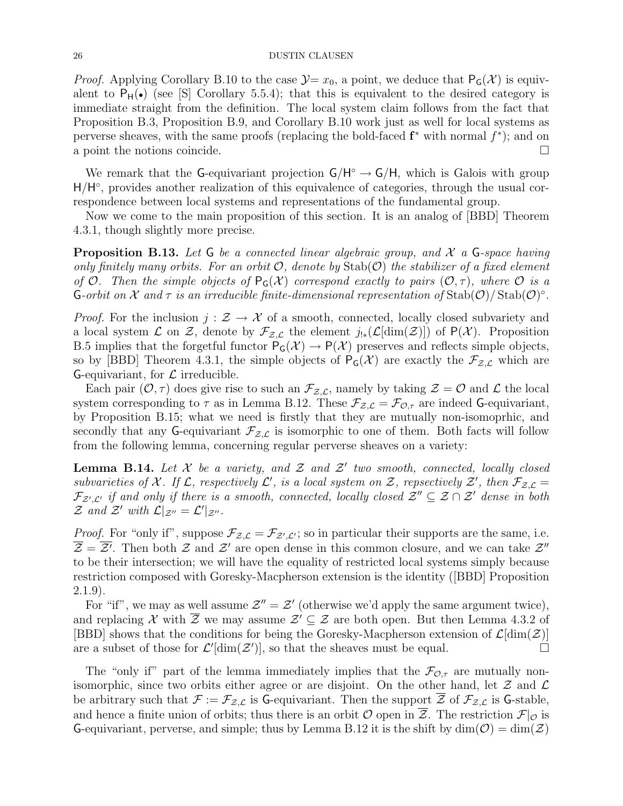*Proof.* Applying Corollary B.10 to the case  $\mathcal{Y}=x_0$ , a point, we deduce that  $P_G(\mathcal{X})$  is equivalent to  $P_H(\bullet)$  (see [S] Corollary 5.5.4); that this is equivalent to the desired category is immediate straight from the definition. The local system claim follows from the fact that Proposition B.3, Proposition B.9, and Corollary B.10 work just as well for local systems as perverse sheaves, with the same proofs (replacing the bold-faced  $f^*$  with normal  $f^*$ ); and on a point the notions coincide.

We remark that the G-equivariant projection  $G/H^{\circ} \to G/H$ , which is Galois with group H/H°, provides another realization of this equivalence of categories, through the usual correspondence between local systems and representations of the fundamental group.

Now we come to the main proposition of this section. It is an analog of [BBD] Theorem 4.3.1, though slightly more precise.

**Proposition B.13.** Let  $G$  be a connected linear algebraic group, and  $\mathcal{X}$  a  $G$ -space having only finitely many orbits. For an orbit  $\mathcal{O}$ , denote by  $\text{Stab}(\mathcal{O})$  the stabilizer of a fixed element of O. Then the simple objects of  $P_G(\mathcal{X})$  correspond exactly to pairs  $(\mathcal{O}, \tau)$ , where  $\mathcal O$  is a **G**-orbit on X and  $\tau$  is an irreducible finite-dimensional representation of  $\text{Stab}(\mathcal{O})/\text{Stab}(\mathcal{O})^{\circ}$ .

*Proof.* For the inclusion  $j : \mathcal{Z} \to \mathcal{X}$  of a smooth, connected, locally closed subvariety and a local system  $\mathcal L$  on  $\mathcal Z$ , denote by  $\mathcal F_{\mathcal Z,\mathcal L}$  the element  $j_{!*}(\mathcal L[\dim(\mathcal Z)])$  of  $P(\mathcal X)$ . Proposition B.5 implies that the forgetful functor  $P_G(\mathcal{X}) \to P(\mathcal{X})$  preserves and reflects simple objects, so by [BBD] Theorem 4.3.1, the simple objects of  $P_G(\mathcal{X})$  are exactly the  $\mathcal{F}_{\mathcal{Z},\mathcal{L}}$  which are G-equivariant, for  $\mathcal L$  irreducible.

Each pair  $(0, \tau)$  does give rise to such an  $\mathcal{F}_{\mathcal{Z},\mathcal{L}}$ , namely by taking  $\mathcal{Z} = \mathcal{O}$  and  $\mathcal{L}$  the local system corresponding to  $\tau$  as in Lemma B.12. These  $\mathcal{F}_{Z,\mathcal{L}} = \mathcal{F}_{\mathcal{O},\tau}$  are indeed G-equivariant, by Proposition B.15; what we need is firstly that they are mutually non-isomoprhic, and secondly that any G-equivariant  $\mathcal{F}_{Z,\mathcal{L}}$  is isomorphic to one of them. Both facts will follow from the following lemma, concerning regular perverse sheaves on a variety:

**Lemma B.14.** Let  $\mathcal X$  be a variety, and  $\mathcal Z$  and  $\mathcal Z'$  two smooth, connected, locally closed subvarieties of X. If  $\mathcal{L}$ , respectively  $\mathcal{L}'$ , is a local system on Z, repsectively Z', then  $\mathcal{F}_{\mathcal{Z},\mathcal{L}} =$  $\mathcal{F}_{\mathcal{Z}',\mathcal{L}'}$  if and only if there is a smooth, connected, locally closed  $\mathcal{Z}''\subseteq \mathcal{Z}\cap\mathcal{Z}'$  dense in both  $\mathcal Z$  and  $\mathcal Z'$  with  $\mathcal L|_{\mathcal Z''} = \mathcal L'|_{\mathcal Z''}.$ 

*Proof.* For "only if", suppose  $\mathcal{F}_{\mathcal{Z},\mathcal{L}} = \mathcal{F}_{\mathcal{Z}',\mathcal{L}'}$ ; so in particular their supports are the same, i.e.  $\overline{\mathcal{Z}} = \overline{\mathcal{Z}}'$ . Then both  $\mathcal Z$  and  $\mathcal Z'$  are open dense in this common closure, and we can take  $\mathcal Z''$ to be their intersection; we will have the equality of restricted local systems simply because restriction composed with Goresky-Macpherson extension is the identity ([BBD] Proposition 2.1.9).

For "if", we may as well assume  $\mathcal{Z}'' = \mathcal{Z}'$  (otherwise we'd apply the same argument twice), and replacing X with  $\overline{Z}$  we may assume  $\mathcal{Z}' \subseteq \mathcal{Z}$  are both open. But then Lemma 4.3.2 of [BBD] shows that the conditions for being the Goresky-Macpherson extension of  $\mathcal{L}[\dim(\mathcal{Z})]$ are a subset of those for  $\mathcal{L}'[\dim(\mathcal{Z}')]$ , so that the sheaves must be equal.

The "only if" part of the lemma immediately implies that the  $\mathcal{F}_{\mathcal{O},\tau}$  are mutually nonisomorphic, since two orbits either agree or are disjoint. On the other hand, let  $\mathcal Z$  and  $\mathcal L$ be arbitrary such that  $\mathcal{F} := \mathcal{F}_{\mathcal{Z},\mathcal{L}}$  is G-equivariant. Then the support  $\overline{\mathcal{Z}}$  of  $\mathcal{F}_{\mathcal{Z},\mathcal{L}}$  is G-stable, and hence a finite union of orbits; thus there is an orbit  $\mathcal O$  open in  $\overline{\mathcal Z}$ . The restriction  $\mathcal F|_{\mathcal O}$  is G-equivariant, perverse, and simple; thus by Lemma B.12 it is the shift by  $\dim(\mathcal{O}) = \dim(\mathcal{Z})$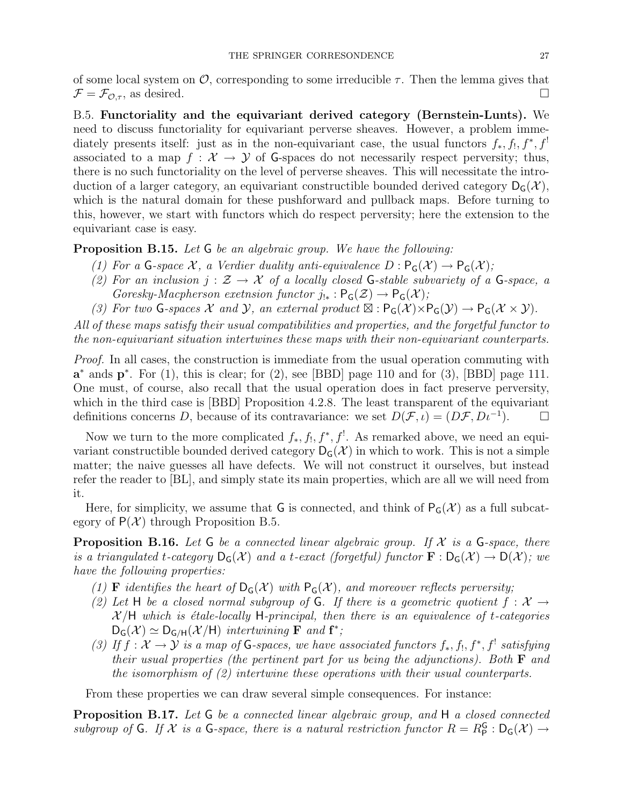of some local system on  $\mathcal{O}$ , corresponding to some irreducible  $\tau$ . Then the lemma gives that  $\mathcal{F} = \mathcal{F}_{\mathcal{O},\tau}$ , as desired.

B.5. Functoriality and the equivariant derived category (Bernstein-Lunts). We need to discuss functoriality for equivariant perverse sheaves. However, a problem immediately presents itself: just as in the non-equivariant case, the usual functors  $f_*, f_!, f^*, f^!$ associated to a map  $f : \mathcal{X} \to \mathcal{Y}$  of G-spaces do not necessarily respect perversity; thus, there is no such functoriality on the level of perverse sheaves. This will necessitate the introduction of a larger category, an equivariant constructible bounded derived category  $D_G(\mathcal{X})$ , which is the natural domain for these pushforward and pullback maps. Before turning to this, however, we start with functors which do respect perversity; here the extension to the equivariant case is easy.

**Proposition B.15.** Let G be an algebraic group. We have the following:

- (1) For a G-space X, a Verdier duality anti-equivalence  $D: \mathsf{P}_\mathsf{G}(\mathcal{X}) \to \mathsf{P}_\mathsf{G}(\mathcal{X})$ ;
- (2) For an inclusion  $j : \mathcal{Z} \to \mathcal{X}$  of a locally closed G-stable subvariety of a G-space, a Goresky-Macpherson exetnsion functor  $j_{!*}: \mathsf{P}_\mathsf{G}(\mathcal{Z}) \to \mathsf{P}_\mathsf{G}(\mathcal{X});$
- (3) For two G-spaces  $\mathcal X$  and  $\mathcal Y$ , an external product  $\mathbb Z: \mathsf{P}_\mathsf{G}(\mathcal X)\times \mathsf{P}_\mathsf{G}(\mathcal Y)\to \mathsf{P}_\mathsf{G}(\mathcal X\times \mathcal Y)$ .

All of these maps satisfy their usual compatibilities and properties, and the forgetful functor to the non-equivariant situation intertwines these maps with their non-equivariant counterparts.

Proof. In all cases, the construction is immediate from the usual operation commuting with  $a^*$  ands  $p^*$ . For (1), this is clear; for (2), see [BBD] page 110 and for (3), [BBD] page 111. One must, of course, also recall that the usual operation does in fact preserve perversity, which in the third case is [BBD] Proposition 4.2.8. The least transparent of the equivariant definitions concerns D, because of its contravariance: we set  $D(\mathcal{F}, \iota) = (D\mathcal{F}, D\iota^{-1})$ .

Now we turn to the more complicated  $f_*, f_!, f^*, f^!$ . As remarked above, we need an equivariant constructible bounded derived category  $D_G(\mathcal{X})$  in which to work. This is not a simple matter; the naive guesses all have defects. We will not construct it ourselves, but instead refer the reader to [BL], and simply state its main properties, which are all we will need from it.

Here, for simplicity, we assume that G is connected, and think of  $P_G(\mathcal{X})$  as a full subcategory of  $P(\mathcal{X})$  through Proposition B.5.

**Proposition B.16.** Let  $G$  be a connected linear algebraic group. If  $X$  is a  $G$ -space, there is a triangulated t-category  $D_G(\mathcal{X})$  and a t-exact (forgetful) functor  $\mathbf{F}: D_G(\mathcal{X}) \to D(\mathcal{X})$ ; we have the following properties:

- (1) **F** identifies the heart of  $D_G(\mathcal{X})$  with  $P_G(\mathcal{X})$ , and moreover reflects perversity;
- (2) Let H be a closed normal subgroup of G. If there is a geometric quotient  $f: \mathcal{X} \to$  $X/H$  which is étale-locally H-principal, then there is an equivalence of t-categories  $D_G(\mathcal{X}) \simeq D_{G/H}(\mathcal{X}/H)$  intertwining **F** and **f**<sup>\*</sup>;
- (3) If  $f: \mathcal{X} \to \mathcal{Y}$  is a map of G-spaces, we have associated functors  $f_*, f_!, f^*, f_!$  satisfying their usual properties (the pertinent part for us being the adjunctions). Both  $\bf{F}$  and the isomorphism of (2) intertwine these operations with their usual counterparts.

From these properties we can draw several simple consequences. For instance:

**Proposition B.17.** Let G be a connected linear algebraic group, and H a closed connected subgroup of G. If X is a G-space, there is a natural restriction functor  $R = R_P^G : D_G(\mathcal{X}) \to$